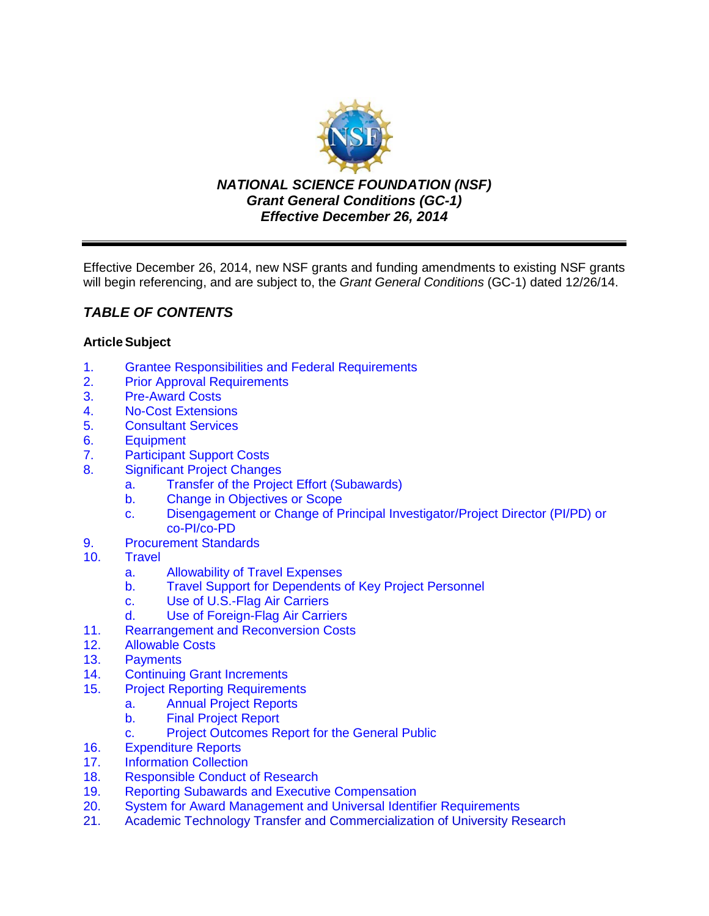

*NATIONAL SCIENCE FOUNDATION (NSF) Grant General Conditions (GC-1) Effective December 26, 2014*

Effective December 26, 2014, new NSF grants and funding amendments to existing NSF grants will begin referencing, and are subject to, the *Grant General Conditions* (GC-1) dated 12/26/14.

# *TABLE OF CONTENTS*

## **ArticleSubject**

- 1. [Grantee Responsibilities and Federal Requirements](#page-2-0)<br>2. Prior Approval Requirements
- 2. [Prior Approval Requirements](#page-3-0)<br>3. Pre-Award Costs
- **[Pre-Award Costs](#page-4-0)**
- 4. [No-Cost Extensions](#page-4-0)
- 5. [Consultant Services](#page-4-0)
- 6. [Equipment](#page-5-0)
- 7. [Participant Support Costs](#page-7-0)
- 8. [Significant Project Changes](#page-7-0)
	- a. [Transfer of the Project Effort \(Subawards\)](#page-7-0)
	- b. [Change in Objectives or Scope](#page-8-0)
	- c. Disengagement [or Change of Principal Investigator/Project Director \(PI/PD\) or](#page-8-0)  [co-PI/co-PD](#page-8-0)
- 9. [Procurement Standards](#page-8-0)
- 10. [Travel](#page-9-0)
	- a. [Allowability of Travel Expenses](#page-9-0)
	- b. [Travel Support for Dependents of Key Project Personnel](#page-9-0)
	- c. [Use of U.S.-Flag Air Carriers](#page-9-0)
	- d. [Use of Foreign-Flag Air Carriers](#page-10-0)
- 11. [Rearrangement and Reconversion Costs](#page-11-0)
- 12. [Allowable Costs](#page-12-0)
- 13. [Payments](#page-12-0)
- 14. [Continuing Grant Increments](#page-13-0)<br>15. Proiect Reporting Requirement
- **[Project Reporting Requirements](#page-13-0)** 
	- a. [Annual Project Reports](#page-13-0)
	- b. [Final Project Report](#page-14-0)
	- c. [Project Outcomes Report for](#page-14-0) the General Public
- 16. [Expenditure Reports](#page-14-0)
- 17. [Information Collection](#page-15-0)
- 18. [Responsible Conduct of Research](#page-15-0)
- 19. [Reporting Subawards and Executive Compensation](#page-15-0)<br>20. System for Award Management and Universal Identi
- System for Award Management [and Universal Identifier Requirements](#page-19-0)
- 21. [Academic Technology Transfer and Commercialization of University Research](#page-20-0)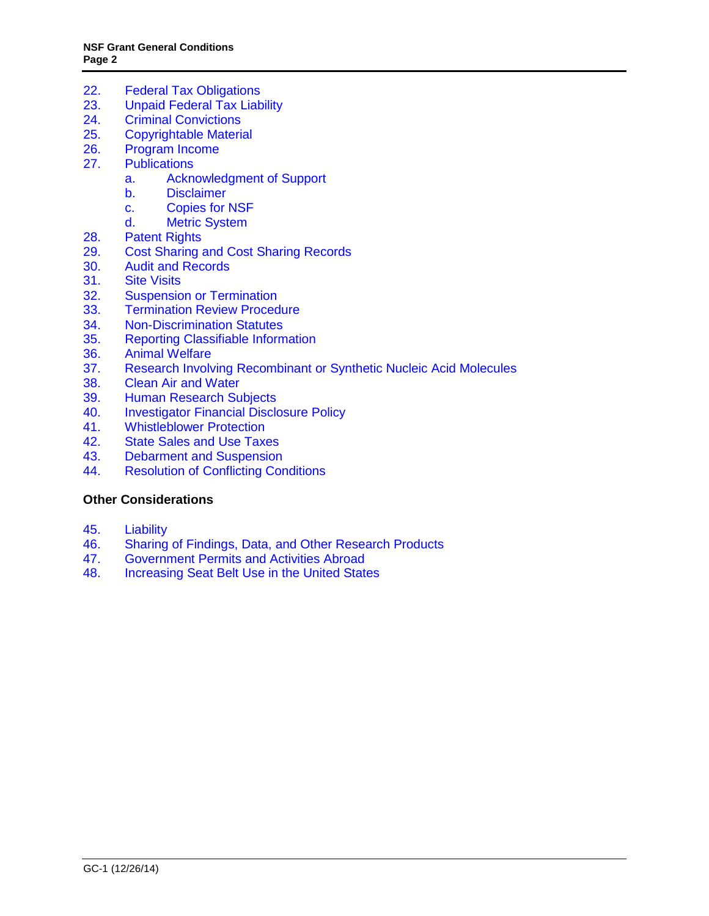- 22. [Federal Tax Obligations](#page-21-0)<br>23. Unpaid Federal Tax Liab
- [Unpaid Federal Tax Liability](#page-21-0)
- 24. [Criminal Convictions](#page-21-0)<br>25. Copvrightable Materia
- **[Copyrightable Material](#page-21-0)**
- 26. [Program Income](#page-22-0)
- 27. [Publications](#page-24-0)
	- a. [Acknowledgment of Support](#page-24-0)
	- b. [Disclaimer](#page-24-0)
	- c. [Copies for NSF](#page-24-0)
	- d. [Metric System](#page-24-0)
- 28. [Patent](#page-25-0) Rights
- 29. [Cost Sharing and Cost Sharing Records](#page-30-0)
- 30. [Audit and Records](#page-31-0)<br>31. Site Visits
- **[Site Visits](#page-31-0)**
- 32. [Suspension or Termination](#page-32-0)
- 33. [Termination Review Procedure](#page-33-0)<br>34. Non-Discrimination Statutes
- 34. [Non-Discrimination](#page-33-0) Statutes<br>35. Reporting Classifiable Inform
- 35. [Reporting Classifiable Information](#page-33-0)
- 36. [Animal Welfare](#page-34-0)
- 37. [Research Involving Recombinant or Synthetic Nucleic Acid Molecules](#page-34-0)<br>38. Clean Air and Water
- **[Clean Air and Water](#page-34-0)**
- 39. [Human Research Subjects](#page-35-0)
- 40. [Investigator Financial Disclosure Policy](#page-35-0)<br>41. Whistleblower Protection
- **[Whistleblower Protection](#page-35-0)**
- 42. [State Sales and Use Taxes](#page-35-0)
- 43. [Debarment and Suspension](#page-35-0)
- 44. [Resolution of Conflicting Conditions](#page-36-0)

## **Other Considerations**

- 45. [Liability](#page-36-0)<br>46. Sharing
- 46. [Sharing of Findings, Data, and Other Research Products](#page-36-0)
- 47. [Government Permits and Activities Abroad](#page-36-0)<br>48. Increasing Seat Belt Use in the United State
- [Increasing Seat Belt Use in the United States](#page-37-0)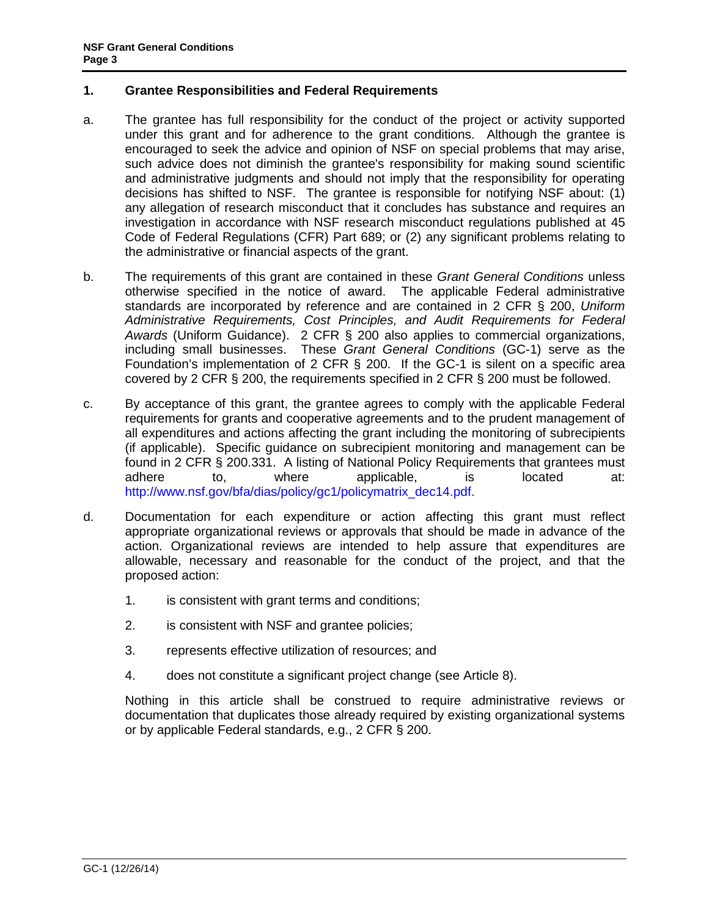## <span id="page-2-0"></span>**1. Grantee Responsibilities and Federal Requirements**

- a. The grantee has full responsibility for the conduct of the project or activity supported under this grant and for adherence to the grant conditions. Although the grantee is encouraged to seek the advice and opinion of NSF on special problems that may arise, such advice does not diminish the grantee's responsibility for making sound scientific and administrative judgments and should not imply that the responsibility for operating decisions has shifted to NSF. The grantee is responsible for notifying NSF about: (1) any allegation of research misconduct that it concludes has substance and requires an investigation in accordance with NSF research misconduct regulations published at 45 Code of Federal Regulations (CFR) Part 689; or (2) any significant problems relating to the administrative or financial aspects of the grant.
- b. The requirements of this grant are contained in these *Grant General Conditions* unless otherwise specified in the notice of award. The applicable Federal administrative standards are incorporated by reference and are contained in [2 CFR §](http://www.ecfr.gov/cgi-bin/text-idx?SID=704835d27377ef5213a51c149de40cab&node=2:1.1.2.2.1&rgn=div5) 200, *Uniform Administrative Requirements, Cost Principles, and Audit Requirements for Federal Awards* (Uniform Guidance). 2 CFR § 200 also applies to commercial organizations, including small businesses. These *Grant General Conditions* (GC-1) serve as the Foundation's implementation of 2 CFR § 200. If the GC-1 is silent on a specific area covered by 2 CFR § 200, the requirements specified in 2 CFR § 200 must be followed.
- c. By acceptance of this grant, the grantee agrees to comply with the applicable Federal requirements for grants and cooperative agreements and to the prudent management of all expenditures and actions affecting the grant including the monitoring of subrecipients (if applicable). Specific guidance on subrecipient monitoring and management can be found in 2 CFR § 200.331. A listing of National Policy Requirements that grantees must adhere to, where applicable, is located at: [http://www.nsf.gov/bfa/dias/policy/gc1/policymatrix\\_dec14.pdf.](http://www.nsf.gov/bfa/dias/policy/gc1/policymatrix_dec14.pdf)
- d. Documentation for each expenditure or action affecting this grant must reflect appropriate organizational reviews or approvals that should be made in advance of the action. Organizational reviews are intended to help assure that expenditures are allowable, necessary and reasonable for the conduct of the project, and that the proposed action:
	- 1. is consistent with grant terms and conditions;
	- 2. is consistent with NSF and grantee policies;
	- 3. represents effective utilization of resources; and
	- 4. does not constitute a significant project change (see Article 8).

Nothing in this article shall be construed to require administrative reviews or documentation that duplicates those already required by existing organizational systems or by applicable Federal standards, e.g., 2 CFR § 200.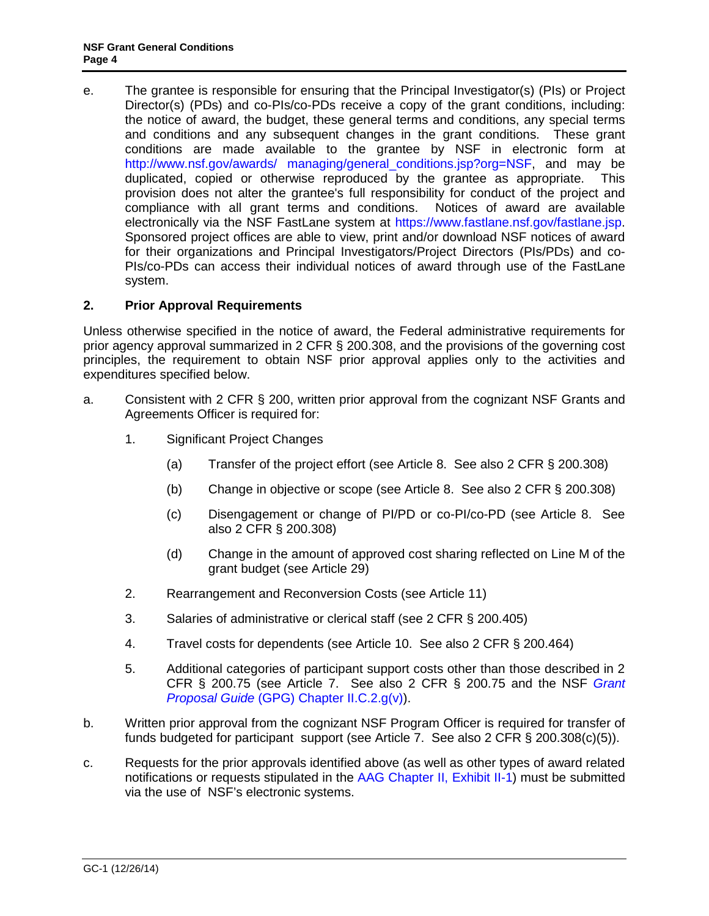<span id="page-3-0"></span>e. The grantee is responsible for ensuring that the Principal Investigator(s) (PIs) or Project Director(s) (PDs) and co-PIs/co-PDs receive a copy of the grant conditions, including: the notice of award, the budget, these general terms and conditions, any special terms and conditions and any subsequent changes in the grant conditions. These grant conditions are made available to the grantee by NSF in electronic form at [http://www.nsf.gov/awards/ managing/general\\_conditions.jsp?org=NSF,](http://www.nsf.gov/awards/managing/general_conditions.jsp?org=NSF) and may be duplicated, copied or otherwise reproduced by the grantee as appropriate. This provision does not alter the grantee's full responsibility for conduct of the project and compliance with all grant terms and conditions. Notices of award are available electronically via the NSF FastLane system at [https://www.fastlane.nsf.gov/fastlane.jsp.](https://www.fastlane.nsf.gov/fastlane.jsp) Sponsored project offices are able to view, print and/or download NSF notices of award for their organizations and Principal Investigators/Project Directors (PIs/PDs) and co-PIs/co-PDs can access their individual notices of award through use of the FastLane system.

## **2. Prior Approval Requirements**

Unless otherwise specified in the notice of award, the Federal administrative requirements for prior agency approval summarized in 2 CFR § 200.308, and the provisions of the governing cost principles, the requirement to obtain NSF prior approval applies only to the activities and expenditures specified below.

- a. Consistent with 2 CFR § 200, written prior approval from the cognizant NSF Grants and Agreements Officer is required for:
	- 1. Significant Project Changes
		- (a) Transfer of the project effort (see Article 8. See also 2 CFR § 200.308)
		- (b) Change in objective or scope (see Article 8. See also 2 CFR § 200.308)
		- (c) Disengagement or change of PI/PD or co-PI/co-PD (see Article 8. See also 2 CFR § 200.308)
		- (d) Change in the amount of approved cost sharing reflected on Line M of the grant budget (see Article 29)
	- 2. Rearrangement and Reconversion Costs (see Article 11)
	- 3. Salaries of administrative or clerical staff (see 2 CFR § 200.405)
	- 4. Travel costs for dependents (see Article 10. See also 2 CFR § 200.464)
	- 5. Additional categories of participant support costs other than those described in 2 CFR § 200.75 (see Article 7. See also 2 CFR § 200.75 and the NSF *[Grant](http://www.nsf.gov/pubs/policydocs/pappguide/nsf14001/gpg_2.jsp#IIC2gv)  Proposal Guide* [\(GPG\) Chapter II.C.2.g\(v\)\)](http://www.nsf.gov/pubs/policydocs/pappguide/nsf15001/gpg_2.jsp#IIC2gv).
- b. Written prior approval from the cognizant NSF Program Officer is required for transfer of funds budgeted for participant support (see Article 7. See also 2 CFR § 200.308(c)(5)).
- c. Requests for the prior approvals identified above (as well as other types of award related notifications or requests stipulated in the [AAG Chapter II, Exhibit II-1\)](http://www.nsf.gov/pubs/policydocs/pappguide/nsf15001/aag_2ex1.pdf) must be submitted via the use of NSF's electronic systems.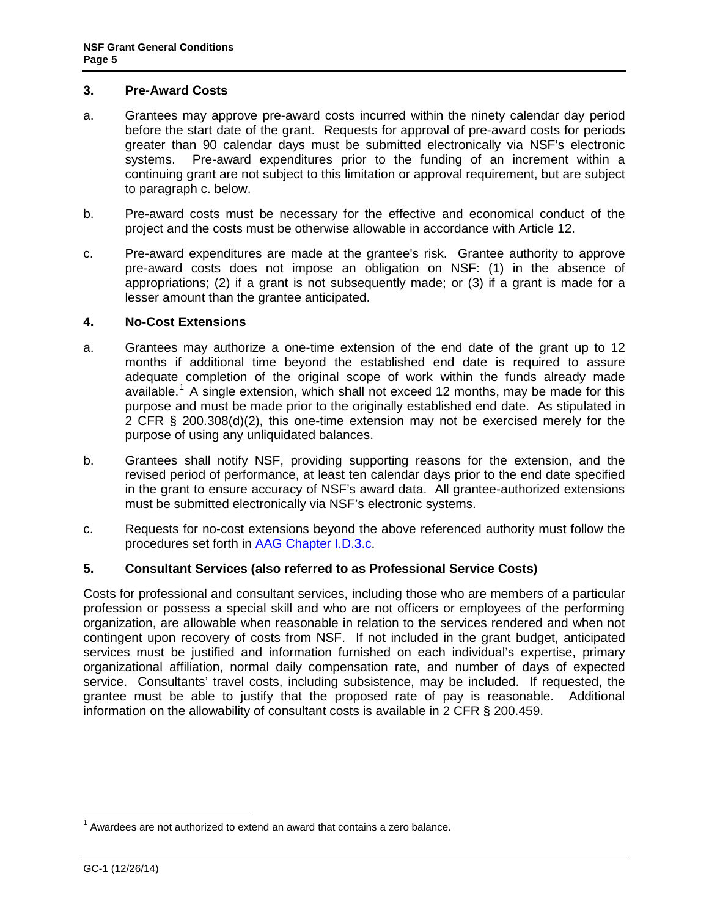#### <span id="page-4-0"></span>**3. Pre-Award Costs**

- a. Grantees may approve pre-award costs incurred within the ninety calendar day period before the start date of the grant. Requests for approval of pre-award costs for periods greater than 90 calendar days must be submitted electronically via NSF's electronic systems. Pre-award expenditures prior to the funding of an increment within a continuing grant are not subject to this limitation or approval requirement, but are subject to paragraph c. below.
- b. Pre-award costs must be necessary for the effective and economical conduct of the project and the costs must be otherwise allowable in accordance with Article 12.
- c. Pre-award expenditures are made at the grantee's risk. Grantee authority to approve pre-award costs does not impose an obligation on NSF: (1) in the absence of appropriations; (2) if a grant is not subsequently made; or (3) if a grant is made for a lesser amount than the grantee anticipated.

### **4. No-Cost Extensions**

- a. Grantees may authorize a one-time extension of the end date of the grant up to 12 months if additional time beyond the established end date is required to assure adequate completion of the original scope of work within the funds already made available.<sup>[1](#page-4-1)</sup> A single extension, which shall not exceed 12 months, may be made for this purpose and must be made prior to the originally established end date. As stipulated in 2 CFR § 200.308(d)(2), this one-time extension may not be exercised merely for the purpose of using any unliquidated balances.
- b. Grantees shall notify NSF, providing supporting reasons for the extension, and the revised period of performance, at least ten calendar days prior to the end date specified in the grant to ensure accuracy of NSF's award data. All grantee-authorized extensions must be submitted electronically via NSF's electronic systems.
- c. Requests for no-cost extensions beyond the above referenced authority must follow the procedures set forth in [AAG Chapter I.D.3.c.](http://www.nsf.gov/pubs/policydocs/pappguide/nsf15001/aag_1.jsp#ID3c)

## **5. Consultant Services (also referred to as Professional Service Costs)**

Costs for professional and consultant services, including those who are members of a particular profession or possess a special skill and who are not officers or employees of the performing organization, are allowable when reasonable in relation to the services rendered and when not contingent upon recovery of costs from NSF. If not included in the grant budget, anticipated services must be justified and information furnished on each individual's expertise, primary organizational affiliation, normal daily compensation rate, and number of days of expected service. Consultants' travel costs, including subsistence, may be included. If requested, the grantee must be able to justify that the proposed rate of pay is reasonable. Additional information on the allowability of consultant costs is available in 2 CFR § 200.459.

<span id="page-4-1"></span> $1$  Awardees are not authorized to extend an award that contains a zero balance.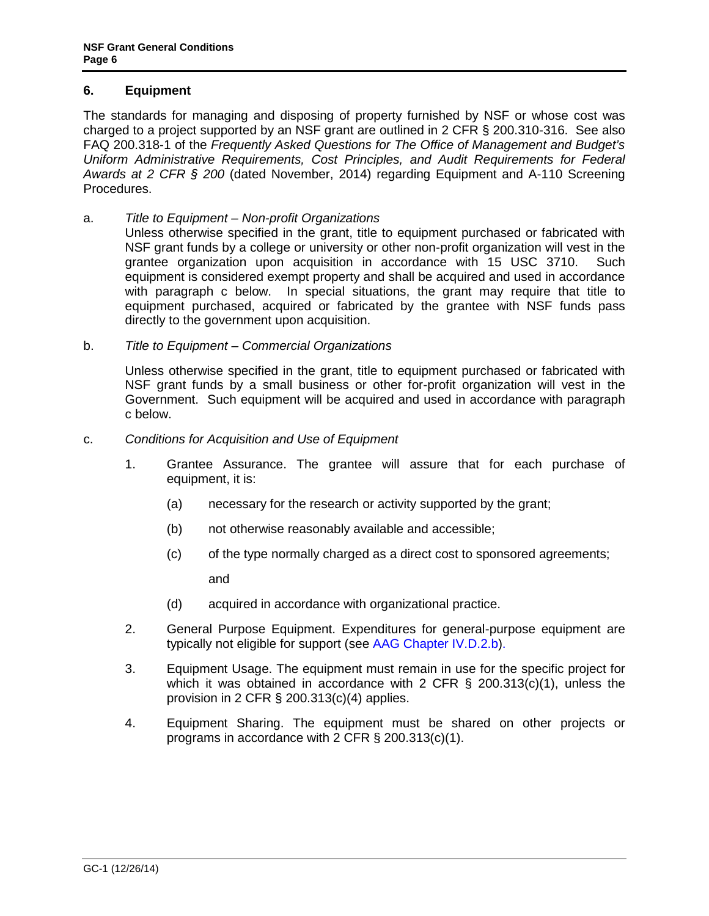## <span id="page-5-0"></span>**6. Equipment**

The standards for managing and disposing of property furnished by NSF or whose cost was charged to a project supported by an NSF grant are outlined in 2 CFR § 200.310-316. See also FAQ 200.318-1 of the *Frequently Asked Questions for The Office of Management and Budget's Uniform Administrative Requirements, Cost Principles, and Audit Requirements for Federal Awards at 2 CFR § 200* (dated November, 2014) regarding Equipment and A-110 Screening Procedures.

- a. *Title to Equipment – Non-profit Organizations*
	- Unless otherwise specified in the grant, title to equipment purchased or fabricated with NSF grant funds by a college or university or other non-profit organization will vest in the grantee organization upon acquisition in accordance with 15 USC 3710. Such equipment is considered exempt property and shall be acquired and used in accordance with paragraph c below. In special situations, the grant may require that title to equipment purchased, acquired or fabricated by the grantee with NSF funds pass directly to the government upon acquisition.
- b. *Title to Equipment – Commercial Organizations*

Unless otherwise specified in the grant, title to equipment purchased or fabricated with NSF grant funds by a small business or other for-profit organization will vest in the Government. Such equipment will be acquired and used in accordance with paragraph c below.

- c. *Conditions for Acquisition and Use of Equipment*
	- 1. Grantee Assurance. The grantee will assure that for each purchase of equipment, it is:
		- (a) necessary for the research or activity supported by the grant;
		- (b) not otherwise reasonably available and accessible;
		- (c) of the type normally charged as a direct cost to sponsored agreements;

and

- (d) acquired in accordance with organizational practice.
- 2. General Purpose Equipment. Expenditures for general-purpose equipment are typically not eligible for support (see [AAG Chapter IV.D.2.b\)](http://www.nsf.gov/pubs/policydocs/pappguide/nsf15001/aag_4.jsp#IVD2).
- 3. Equipment Usage. The equipment must remain in use for the specific project for which it was obtained in accordance with 2 CFR  $\S$  200.313(c)(1), unless the provision in 2 CFR § 200.313(c)(4) applies.
- 4. Equipment Sharing. The equipment must be shared on other projects or programs in accordance with 2 CFR § 200.313(c)(1).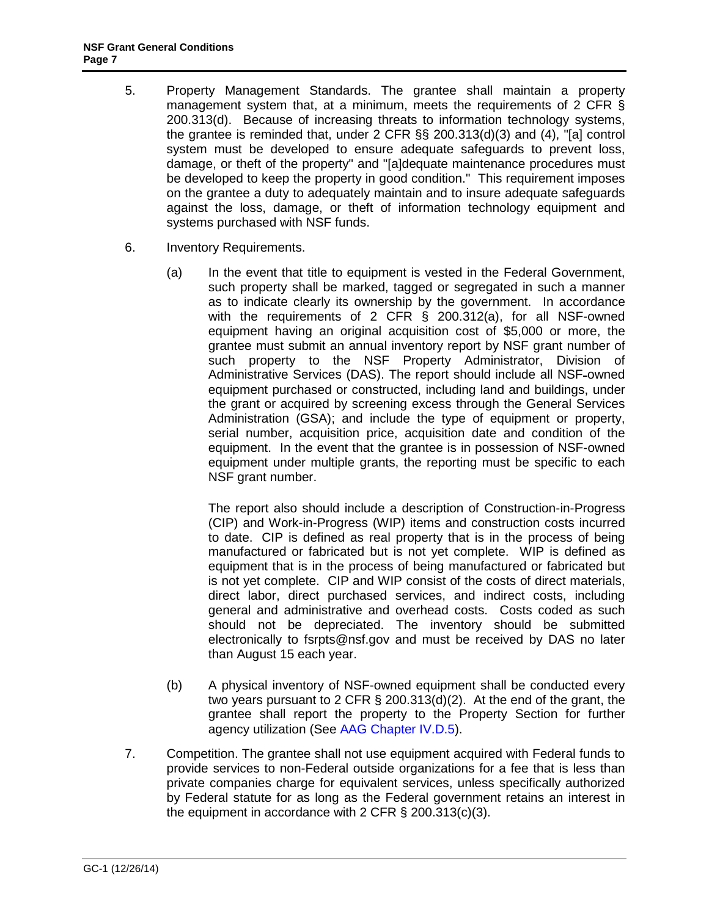- 5. Property Management Standards. The grantee shall maintain a property management system that, at a minimum, meets the requirements of 2 CFR § 200.313(d). Because of increasing threats to information technology systems, the grantee is reminded that, under 2 CFR §§ 200.313(d)(3) and (4), "[a] control system must be developed to ensure adequate safeguards to prevent loss, damage, or theft of the property" and "[a]dequate maintenance procedures must be developed to keep the property in good condition." This requirement imposes on the grantee a duty to adequately maintain and to insure adequate safeguards against the loss, damage, or theft of information technology equipment and systems purchased with NSF funds.
- 6. Inventory Requirements.
	- (a) In the event that title to equipment is vested in the Federal Government, such property shall be marked, tagged or segregated in such a manner as to indicate clearly its ownership by the government. In accordance with the requirements of 2 CFR § 200.312(a), for all NSF-owned equipment having an original acquisition cost of \$5,000 or more, the grantee must submit an annual inventory report by NSF grant number of such property to the NSF Property Administrator, Division of Administrative Services (DAS). The report should include all NSF-owned equipment purchased or constructed, including land and buildings, under the grant or acquired by screening excess through the General Services Administration (GSA); and include the type of equipment or property, serial number, acquisition price, acquisition date and condition of the equipment. In the event that the grantee is in possession of NSF-owned equipment under multiple grants, the reporting must be specific to each NSF grant number.

The report also should include a description of Construction-in-Progress (CIP) and Work-in-Progress (WIP) items and construction costs incurred to date. CIP is defined as real property that is in the process of being manufactured or fabricated but is not yet complete. WIP is defined as equipment that is in the process of being manufactured or fabricated but is not yet complete. CIP and WIP consist of the costs of direct materials, direct labor, direct purchased services, and indirect costs, including general and administrative and overhead costs. Costs coded as such should not be depreciated. The inventory should be submitted electronically to [fsrpts@nsf.gov](mailto:fsrpts@nsf.gov) and must be received by DAS no later than August 15 each year.

- (b) A physical inventory of NSF-owned equipment shall be conducted every two years pursuant to 2 CFR § 200.313(d)(2). At the end of the grant, the grantee shall report the property to the Property Section for further agency utilization (See [AAG Chapter IV.D.5\)](http://www.nsf.gov/pubs/policydocs/pappguide/nsf15001/aag_4.jsp#IVD5).
- 7. Competition. The grantee shall not use equipment acquired with Federal funds to provide services to non-Federal outside organizations for a fee that is less than private companies charge for equivalent services, unless specifically authorized by Federal statute for as long as the Federal government retains an interest in the equipment in accordance with 2 CFR § 200.313(c)(3).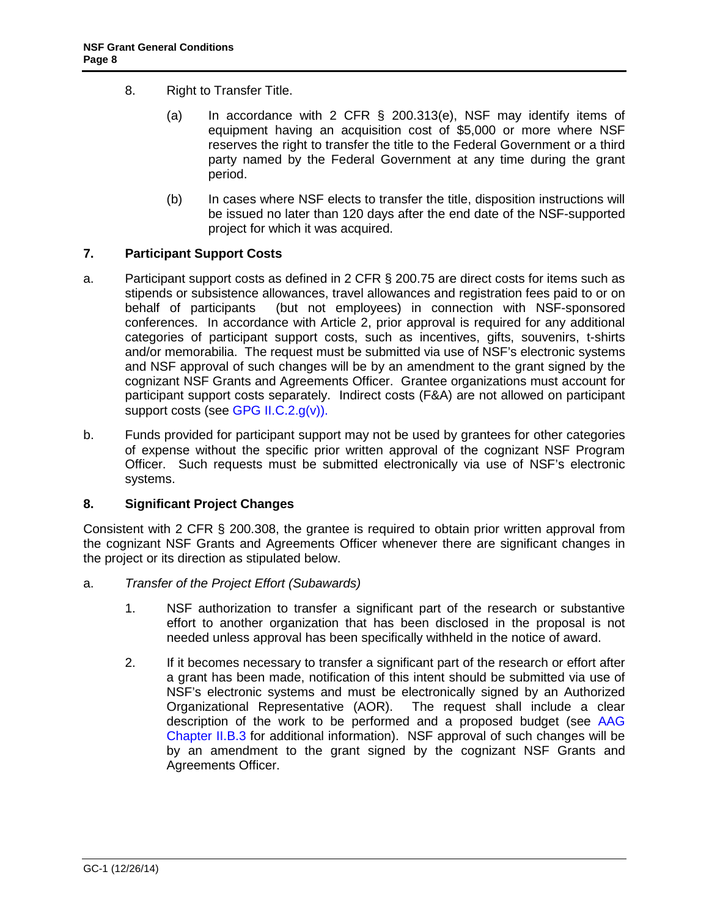- <span id="page-7-0"></span>8. Right to Transfer Title.
	- (a) In accordance with 2 CFR § 200.313(e), NSF may identify items of equipment having an acquisition cost of \$5,000 or more where NSF reserves the right to transfer the title to the Federal Government or a third party named by the Federal Government at any time during the grant period.
	- (b) In cases where NSF elects to transfer the title, disposition instructions will be issued no later than 120 days after the end date of the NSF-supported project for which it was acquired.

### **7. Participant Support Costs**

- a. Participant support costs as defined in 2 CFR § 200.75 are direct costs for items such as stipends or subsistence allowances, travel allowances and registration fees paid to or on behalf of participants (but not employees) in connection with NSF-sponsored conferences. In accordance with Article 2, prior approval is required for any additional categories of participant support costs, such as incentives, gifts, souvenirs, t-shirts and/or memorabilia. The request must be submitted via use of NSF's electronic systems and NSF approval of such changes will be by an amendment to the grant signed by the cognizant NSF Grants and Agreements Officer. Grantee organizations must account for participant support costs separately. Indirect costs (F&A) are not allowed on participant support costs (see [GPG II.C.2.g\(v\)\).](http://www.nsf.gov/pubs/policydocs/pappguide/nsf15001/gpg_2.jsp#IIC2gv)
- b. Funds provided for participant support may not be used by grantees for other categories of expense without the specific prior written approval of the cognizant NSF Program Officer. Such requests must be submitted electronically via use of NSF's electronic systems.

## **8. Significant Project Changes**

Consistent with 2 CFR § 200.308, the grantee is required to obtain prior written approval from the cognizant NSF Grants and Agreements Officer whenever there are significant changes in the project or its direction as stipulated below.

- a. *Transfer of the Project Effort (Subawards)*
	- 1. NSF authorization to transfer a significant part of the research or substantive effort to another organization that has been disclosed in the proposal is not needed unless approval has been specifically withheld in the notice of award.
	- 2. If it becomes necessary to transfer a significant part of the research or effort after a grant has been made, notification of this intent should be submitted via use of NSF's electronic systems and must be electronically signed by an Authorized Organizational Representative (AOR). The request shall include a clear description of the work to be performed and a proposed budget (see [AAG](http://www.nsf.gov/pubs/policydocs/pappguide/nsf15001/aag_2.jsp#IIB3)  [Chapter II.B.3](http://www.nsf.gov/pubs/policydocs/pappguide/nsf15001/aag_2.jsp#IIB3) for additional information). NSF approval of such changes will be by an amendment to the grant signed by the cognizant NSF Grants and Agreements Officer.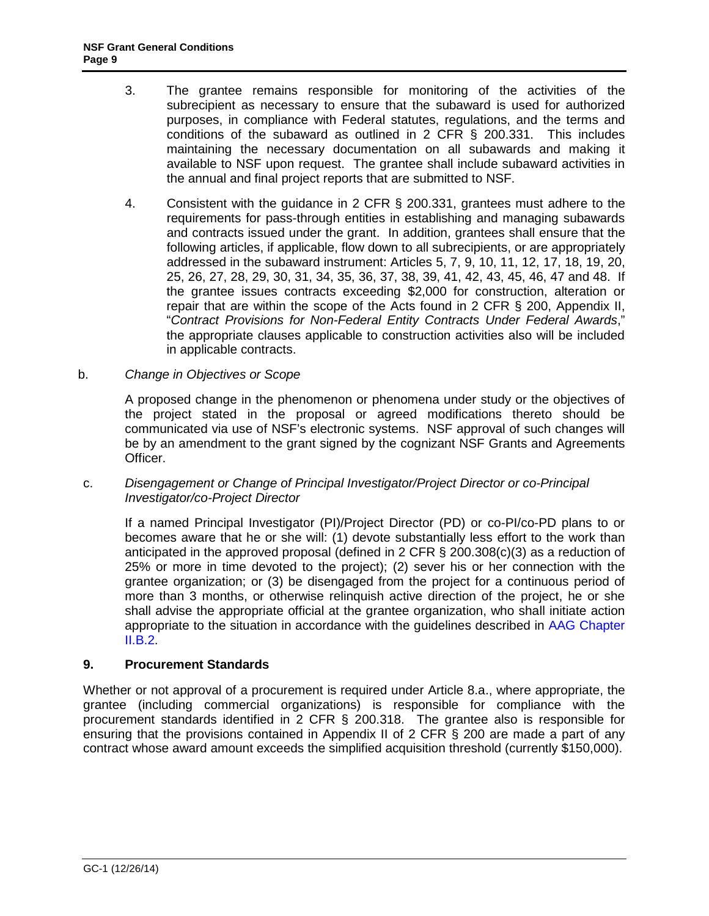- <span id="page-8-0"></span>3. The grantee remains responsible for monitoring of the activities of the subrecipient as necessary to ensure that the subaward is used for authorized purposes, in compliance with Federal statutes, regulations, and the terms and conditions of the subaward as outlined in 2 CFR § 200.331. This includes maintaining the necessary documentation on all subawards and making it available to NSF upon request. The grantee shall include subaward activities in the annual and final project reports that are submitted to NSF.
- 4. Consistent with the guidance in 2 CFR § 200.331, grantees must adhere to the requirements for pass-through entities in establishing and managing subawards and contracts issued under the grant. In addition, grantees shall ensure that the following articles, if applicable, flow down to all subrecipients, or are appropriately addressed in the subaward instrument: Articles 5, 7, 9, 10, 11, 12, 17, 18, 19, 20, 25, 26, 27, 28, 29, 30, 31, 34, 35, 36, 37, 38, 39, 41, 42, 43, 45, 46, 47 and 48. If the grantee issues contracts exceeding \$2,000 for construction, alteration or repair that are within the scope of the Acts found in 2 CFR § 200, Appendix II, "*Contract Provisions for Non-Federal Entity Contracts Under Federal Awards*," the appropriate clauses applicable to construction activities also will be included in applicable contracts.
- b. *Change in Objectives or Scope*

A proposed change in the phenomenon or phenomena under study or the objectives of the project stated in the proposal or agreed modifications thereto should be communicated via use of NSF's electronic systems. NSF approval of such changes will be by an amendment to the grant signed by the cognizant NSF Grants and Agreements Officer.

c. *Disengagement or Change of Principal Investigator/Project Director or co-Principal Investigator/co-Project Director*

If a named Principal Investigator (PI)/Project Director (PD) or co-PI/co-PD plans to or becomes aware that he or she will: (1) devote substantially less effort to the work than anticipated in the approved proposal (defined in 2 CFR  $\S$  200.308(c)(3) as a reduction of 25% or more in time devoted to the project); (2) sever his or her connection with the grantee organization; or (3) be disengaged from the project for a continuous period of more than 3 months, or otherwise relinquish active direction of the project, he or she shall advise the appropriate official at the grantee organization, who shall initiate action appropriate to the situation in accordance with the guidelines described in [AAG Chapter](http://www.nsf.gov/pubs/policydocs/pappguide/nsf15001/aag_2.jsp#IIB2)   $II.B.2.$ 

### **9. Procurement Standards**

Whether or not approval of a procurement is required under Article 8.a., where appropriate, the grantee (including commercial organizations) is responsible for compliance with the procurement standards identified in 2 CFR § 200.318. The grantee also is responsible for ensuring that the provisions contained in Appendix II of 2 CFR § 200 are made a part of any contract whose award amount exceeds the simplified acquisition threshold (currently \$150,000).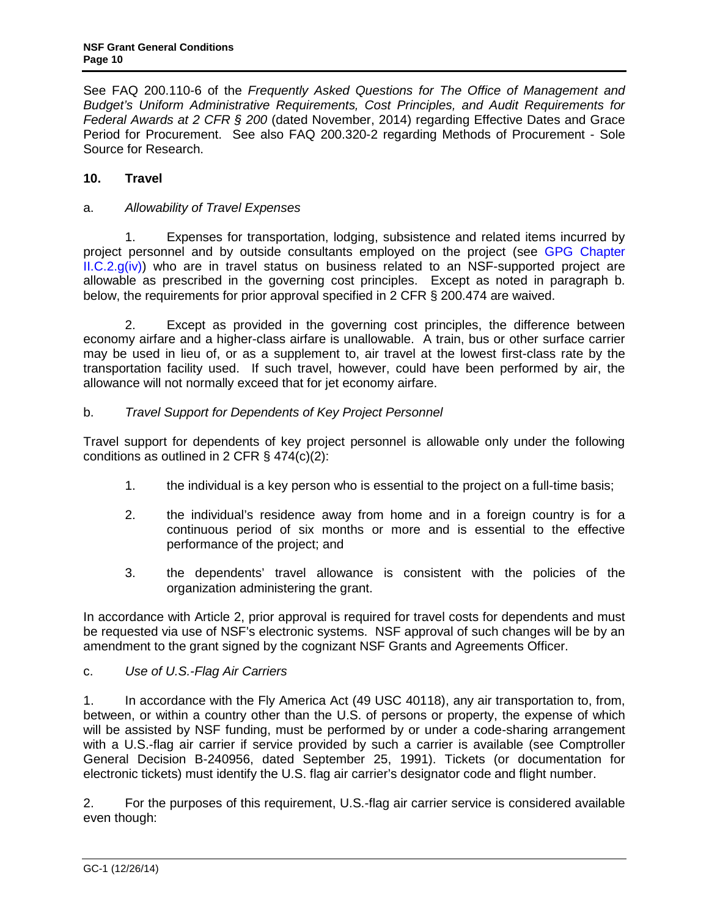<span id="page-9-0"></span>See FAQ 200.110-6 of the *Frequently Asked Questions for The Office of Management and Budget's Uniform Administrative Requirements, Cost Principles, and Audit Requirements for Federal Awards at 2 CFR § 200* (dated November, 2014) regarding Effective Dates and Grace Period for Procurement. See also FAQ 200.320-2 regarding Methods of Procurement - Sole Source for Research.

## **10. Travel**

## a. *Allowability of Travel Expenses*

1. Expenses for transportation, lodging, subsistence and related items incurred by project personnel and by outside consultants employed on the project (see [GPG Chapter](http://www.nsf.gov/pubs/policydocs/pappguide/nsf15001/gpg_2.jsp#IIC2giv)   $ILC.2.g(iv)$  who are in travel status on business related to an NSF-supported project are allowable as prescribed in the governing cost principles. Except as noted in paragraph b. below, the requirements for prior approval specified in 2 CFR § 200.474 are waived.

2. Except as provided in the governing cost principles, the difference between economy airfare and a higher-class airfare is unallowable. A train, bus or other surface carrier may be used in lieu of, or as a supplement to, air travel at the lowest first-class rate by the transportation facility used. If such travel, however, could have been performed by air, the allowance will not normally exceed that for jet economy airfare.

## b. *Travel Support for Dependents of Key Project Personnel*

Travel support for dependents of key project personnel is allowable only under the following conditions as outlined in 2 CFR § 474(c)(2):

- 1. the individual is a key person who is essential to the project on a full-time basis;
- 2. the individual's residence away from home and in a foreign country is for a continuous period of six months or more and is essential to the effective performance of the project; and
- 3. the dependents' travel allowance is consistent with the policies of the organization administering the grant.

In accordance with Article 2, prior approval is required for travel costs for dependents and must be requested via use of NSF's electronic systems. NSF approval of such changes will be by an amendment to the grant signed by the cognizant NSF Grants and Agreements Officer.

## c. *Use of U.S.-Flag Air Carriers*

1. In accordance with the Fly America Act (49 USC 40118), any air transportation to, from, between, or within a country other than the U.S. of persons or property, the expense of which will be assisted by NSF funding, must be performed by or under a code-sharing arrangement with a U.S.-flag air carrier if service provided by such a carrier is available (see Comptroller General Decision B-240956, dated September 25, 1991). Tickets (or documentation for electronic tickets) must identify the U.S. flag air carrier's designator code and flight number.

2. For the purposes of this requirement, U.S.-flag air carrier service is considered available even though: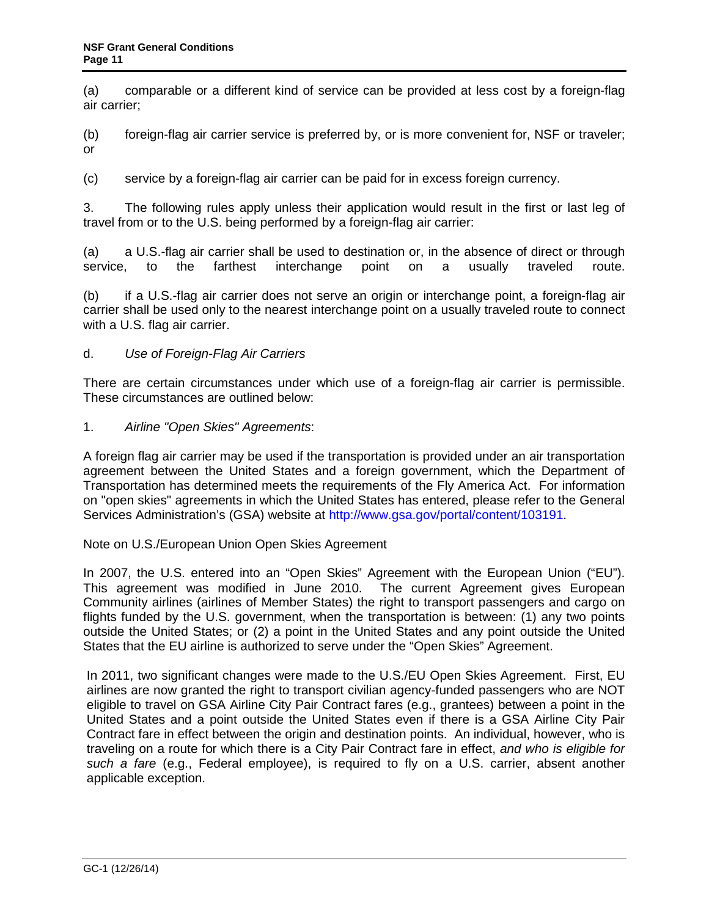<span id="page-10-0"></span>(a) comparable or a different kind of service can be provided at less cost by a foreign-flag air carrier;

(b) foreign-flag air carrier service is preferred by, or is more convenient for, NSF or traveler; or

(c) service by a foreign-flag air carrier can be paid for in excess foreign currency.

3. The following rules apply unless their application would result in the first or last leg of travel from or to the U.S. being performed by a foreign-flag air carrier:

(a) a U.S.-flag air carrier shall be used to destination or, in the absence of direct or through service, to the farthest interchange point on a usually traveled route.

(b) if a U.S.-flag air carrier does not serve an origin or interchange point, a foreign-flag air carrier shall be used only to the nearest interchange point on a usually traveled route to connect with a U.S. flag air carrier.

### d. *Use of Foreign-Flag Air Carriers*

There are certain circumstances under which use of a foreign-flag air carrier is permissible. These circumstances are outlined below:

1. *Airline "Open Skies" Agreements*:

A foreign flag air carrier may be used if the transportation is provided under an air transportation agreement between the United States and a foreign government, which the Department of Transportation has determined meets the requirements of the Fly America Act. For information on "open skies" agreements in which the United States has entered, please refer to the General Services Administration's (GSA) website at [http://www.gsa.gov/portal/content/103191.](http://www.gsa.gov/portal/content/103191)

### Note on U.S./European Union Open Skies Agreement

In 2007, the U.S. entered into an "Open Skies" Agreement with the European Union ("EU"). This agreement was modified in June 2010. The current Agreement gives European Community airlines (airlines of Member States) the right to transport passengers and cargo on flights funded by the U.S. government, when the transportation is between: (1) any two points outside the United States; or (2) a point in the United States and any point outside the United States that the EU airline is authorized to serve under the "Open Skies" Agreement.

In 2011, two significant changes were made to the U.S./EU Open Skies Agreement. First, EU airlines are now granted the right to transport civilian agency-funded passengers who are NOT eligible to travel on GSA Airline City Pair Contract fares (e.g., grantees) between a point in the United States and a point outside the United States even if there is a GSA Airline City Pair Contract fare in effect between the origin and destination points. An individual, however, who is traveling on a route for which there is a City Pair Contract fare in effect, *and who is eligible for such a fare* (e.g., Federal employee), is required to fly on a U.S. carrier, absent another applicable exception.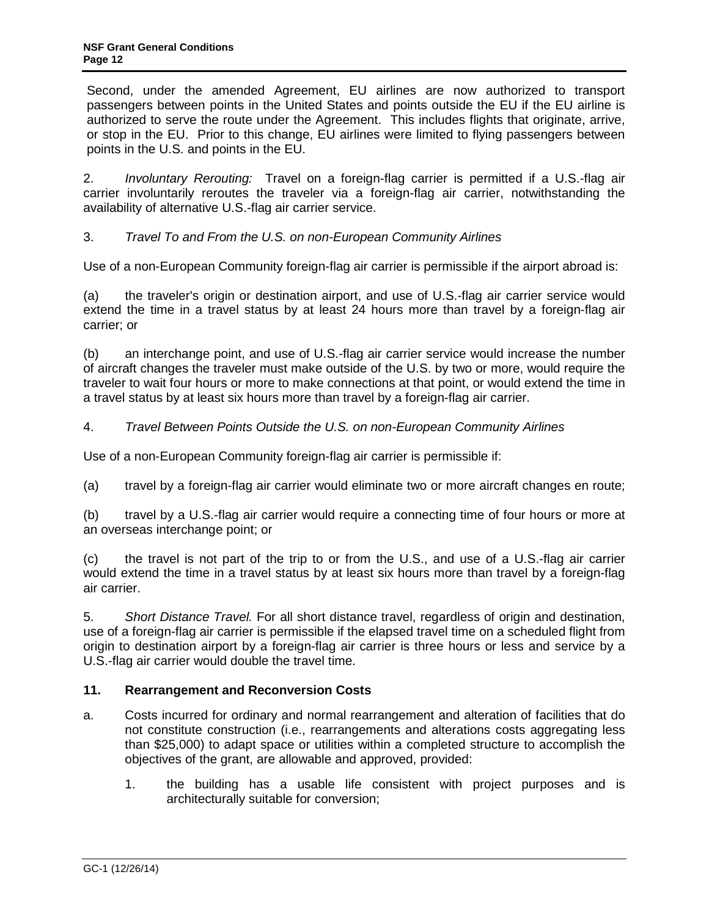<span id="page-11-0"></span>Second, under the amended Agreement, EU airlines are now authorized to transport passengers between points in the United States and points outside the EU if the EU airline is authorized to serve the route under the Agreement. This includes flights that originate, arrive, or stop in the EU. Prior to this change, EU airlines were limited to flying passengers between points in the U.S. and points in the EU.

2. *Involuntary Rerouting:* Travel on a foreign-flag carrier is permitted if a U.S.-flag air carrier involuntarily reroutes the traveler via a foreign-flag air carrier, notwithstanding the availability of alternative U.S.-flag air carrier service.

3. *Travel To and From the U.S. on non-European Community Airlines*

Use of a non-European Community foreign-flag air carrier is permissible if the airport abroad is:

(a) the traveler's origin or destination airport, and use of U.S.-flag air carrier service would extend the time in a travel status by at least 24 hours more than travel by a foreign-flag air carrier; or

(b) an interchange point, and use of U.S.-flag air carrier service would increase the number of aircraft changes the traveler must make outside of the U.S. by two or more, would require the traveler to wait four hours or more to make connections at that point, or would extend the time in a travel status by at least six hours more than travel by a foreign-flag air carrier.

## 4. *Travel Between Points Outside the U.S. on non-European Community Airlines*

Use of a non-European Community foreign-flag air carrier is permissible if:

(a) travel by a foreign-flag air carrier would eliminate two or more aircraft changes en route;

(b) travel by a U.S.-flag air carrier would require a connecting time of four hours or more at an overseas interchange point; or

(c) the travel is not part of the trip to or from the U.S., and use of a U.S.-flag air carrier would extend the time in a travel status by at least six hours more than travel by a foreign-flag air carrier.

5. *Short Distance Travel.* For all short distance travel, regardless of origin and destination, use of a foreign-flag air carrier is permissible if the elapsed travel time on a scheduled flight from origin to destination airport by a foreign-flag air carrier is three hours or less and service by a U.S.-flag air carrier would double the travel time.

## **11. Rearrangement and Reconversion Costs**

- a. Costs incurred for ordinary and normal rearrangement and alteration of facilities that do not constitute construction (i.e., rearrangements and alterations costs aggregating less than \$25,000) to adapt space or utilities within a completed structure to accomplish the objectives of the grant, are allowable and approved, provided:
	- 1. the building has a usable life consistent with project purposes and is architecturally suitable for conversion;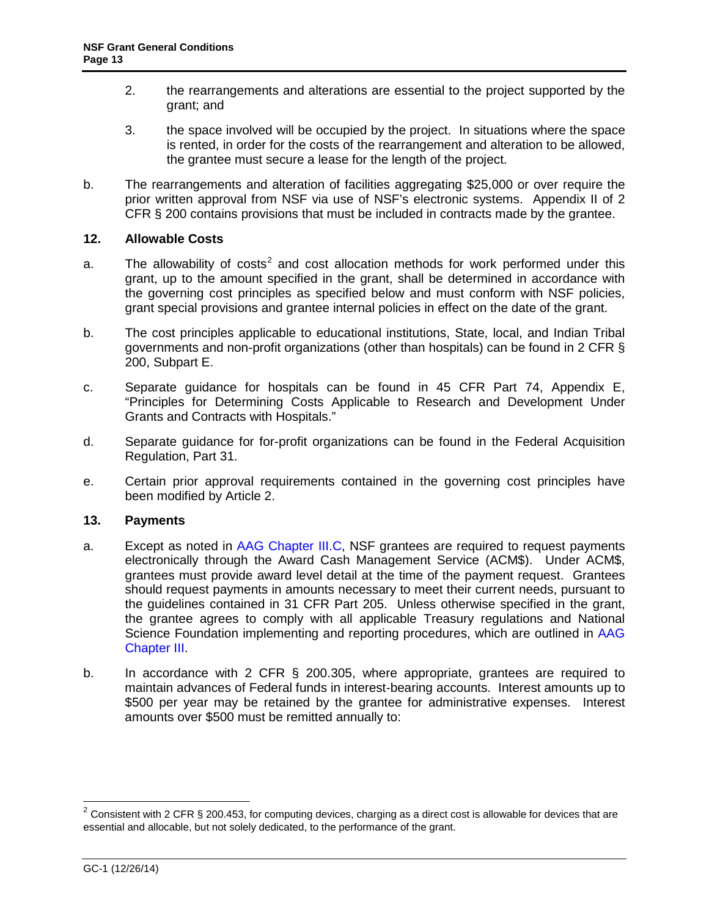- <span id="page-12-0"></span>2. the rearrangements and alterations are essential to the project supported by the grant; and
- 3. the space involved will be occupied by the project. In situations where the space is rented, in order for the costs of the rearrangement and alteration to be allowed, the grantee must secure a lease for the length of the project.
- b. The rearrangements and alteration of facilities aggregating \$25,000 or over require the prior written approval from NSF via use of NSF's electronic systems. Appendix II of 2 CFR § 200 contains provisions that must be included in contracts made by the grantee.

### **12. Allowable Costs**

- a. The allowability of costs<sup>2</sup> and cost allocation methods for work performed under this grant, up to the amount specified in the grant, shall be determined in accordance with the governing cost principles as specified below and must conform with NSF policies, grant special provisions and grantee internal policies in effect on the date of the grant.
- b. The cost principles applicable to educational institutions, State, local, and Indian Tribal governments and non-profit organizations (other than hospitals) can be found in 2 CFR § 200, Subpart E.
- c. Separate guidance for hospitals can be found in 45 CFR Part 74, Appendix E, "Principles for Determining Costs Applicable to Research and Development Under Grants and Contracts with Hospitals."
- d. Separate guidance for for-profit organizations can be found in the Federal Acquisition Regulation, Part 31.
- e. Certain prior approval requirements contained in the governing cost principles have been modified by Article 2.

### **13. Payments**

- a. Except as noted in [AAG Chapter III.C,](http://www.nsf.gov/pubs/policydocs/pappguide/nsf15001/aag_3.jsp#IIIC) NSF grantees are required to request payments electronically through the Award Cash Management Service (ACM\$). Under ACM\$, grantees must provide award level detail at the time of the payment request. Grantees should request payments in amounts necessary to meet their current needs, pursuant to the guidelines contained in 31 CFR Part 205. Unless otherwise specified in the grant, the grantee agrees to comply with all applicable Treasury regulations and National Science Foundation implementing and reporting procedures, which are outlined in [AAG](http://www.nsf.gov/pubs/policydocs/pappguide/nsf15001/aag_3.jsp)  [Chapter III.](http://www.nsf.gov/pubs/policydocs/pappguide/nsf15001/aag_3.jsp)
- b. In accordance with 2 CFR § 200.305, where appropriate, grantees are required to maintain advances of Federal funds in interest-bearing accounts. Interest amounts up to \$500 per year may be retained by the grantee for administrative expenses. Interest amounts over \$500 must be remitted annually to:

 $2$  Consistent with 2 CFR § 200.453, for computing devices, charging as a direct cost is allowable for devices that are essential and allocable, but not solely dedicated, to the performance of the grant.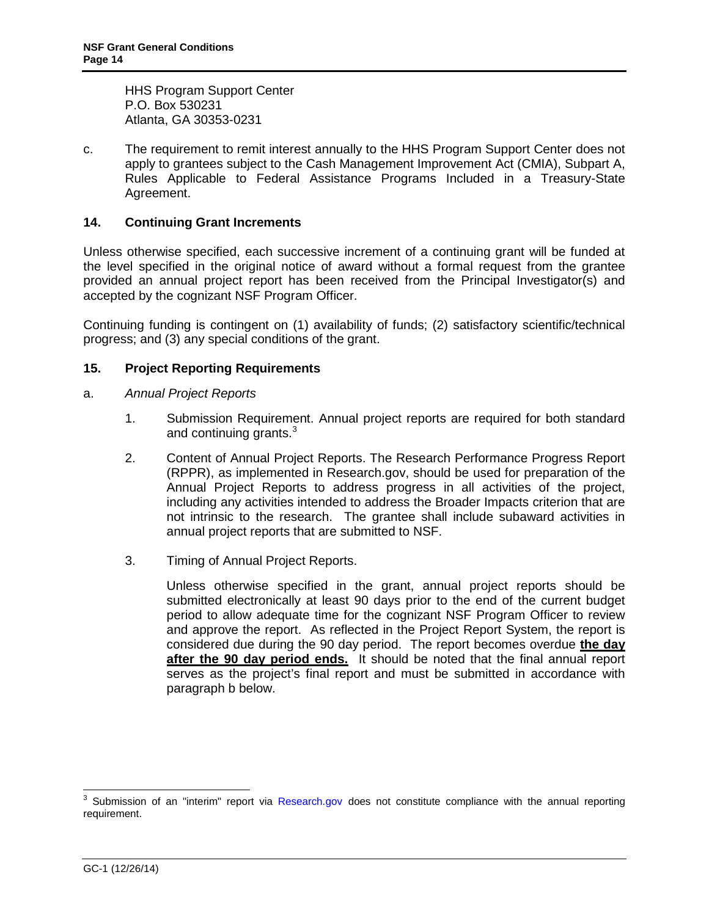<span id="page-13-0"></span>HHS Program Support Center P.O. Box 530231 Atlanta, GA 30353-0231

c. The requirement to remit interest annually to the HHS Program Support Center does not apply to grantees subject to the Cash Management Improvement Act (CMIA), Subpart A, Rules Applicable to Federal Assistance Programs Included in a Treasury-State Agreement.

## **14. Continuing Grant Increments**

Unless otherwise specified, each successive increment of a continuing grant will be funded at the level specified in the original notice of award without a formal request from the grantee provided an annual project report has been received from the Principal Investigator(s) and accepted by the cognizant NSF Program Officer.

Continuing funding is contingent on (1) availability of funds; (2) satisfactory scientific/technical progress; and (3) any special conditions of the grant.

### **15. Project Reporting Requirements**

- a. *Annual Project Reports*
	- 1. Submission Requirement. Annual project reports are required for both standard and continuing grants.<sup>[3](#page-13-1)</sup>
	- 2. Content of Annual Project Reports. The Research Performance Progress Report (RPPR), as implemented in Research.gov, should be used for preparation of the Annual Project Reports to address progress in all activities of the project, including any activities intended to address the Broader Impacts criterion that are not intrinsic to the research. The grantee shall include subaward activities in annual project reports that are submitted to NSF.
	- 3. Timing of Annual Project Reports.

Unless otherwise specified in the grant, annual project reports should be submitted electronically at least 90 days prior to the end of the current budget period to allow adequate time for the cognizant NSF Program Officer to review and approve the report. As reflected in the Project Report System, the report is considered due during the 90 day period. The report becomes overdue **the day after the 90 day period ends.** It should be noted that the final annual report serves as the project's final report and must be submitted in accordance with paragraph b below.

<span id="page-13-1"></span><sup>&</sup>lt;sup>3</sup> Submission of an "interim" report via [Research.gov](http://www.research.gov/) does not constitute compliance with the annual reporting requirement.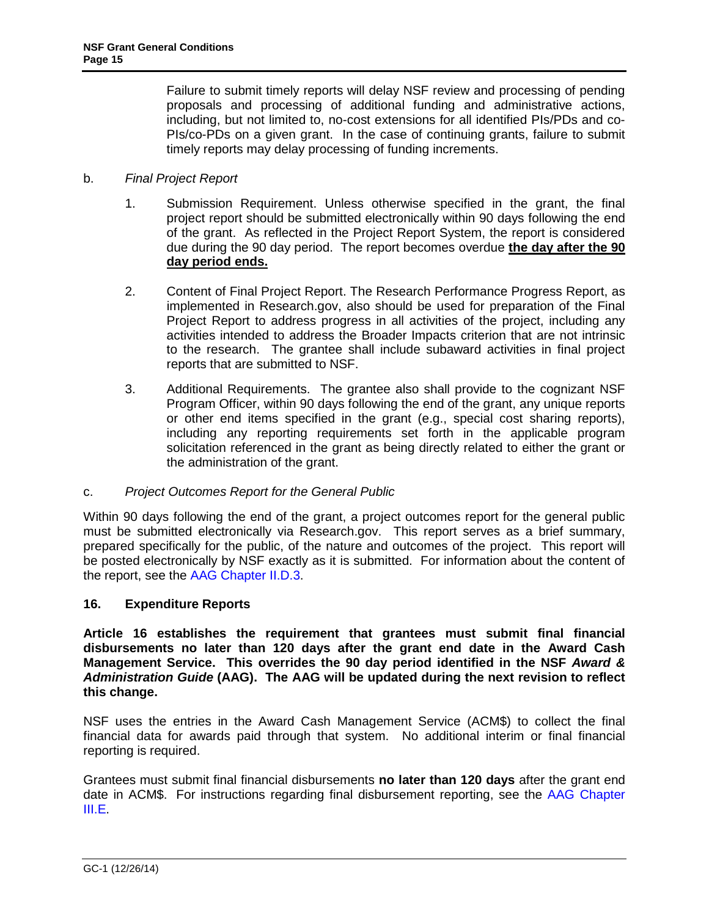<span id="page-14-0"></span>Failure to submit timely reports will delay NSF review and processing of pending proposals and processing of additional funding and administrative actions, including, but not limited to, no-cost extensions for all identified PIs/PDs and co-PIs/co-PDs on a given grant. In the case of continuing grants, failure to submit timely reports may delay processing of funding increments.

## b. *Final Project Report*

- 1. Submission Requirement. Unless otherwise specified in the grant, the final project report should be submitted electronically within 90 days following the end of the grant. As reflected in the Project Report System, the report is considered due during the 90 day period. The report becomes overdue **the day after the 90 day period ends.**
- 2. Content of Final Project Report. The Research Performance Progress Report, as implemented in Research.gov, also should be used for preparation of the Final Project Report to address progress in all activities of the project, including any activities intended to address the Broader Impacts criterion that are not intrinsic to the research. The grantee shall include subaward activities in final project reports that are submitted to NSF.
- 3. Additional Requirements. The grantee also shall provide to the cognizant NSF Program Officer, within 90 days following the end of the grant, any unique reports or other end items specified in the grant (e.g., special cost sharing reports), including any reporting requirements set forth in the applicable program solicitation referenced in the grant as being directly related to either the grant or the administration of the grant.

### c. *Project Outcomes Report for the General Public*

Within 90 days following the end of the grant, a project outcomes report for the general public must be submitted electronically via Research.gov. This report serves as a brief summary, prepared specifically for the public, of the nature and outcomes of the project. This report will be posted electronically by NSF exactly as it is submitted. For information about the content of the report, see the [AAG Chapter II.D.3.](http://www.nsf.gov/pubs/policydocs/pappguide/nsf15001/aag_2.jsp#IID3)

### **16. Expenditure Reports**

**Article 16 establishes the requirement that grantees must submit final financial disbursements no later than 120 days after the grant end date in the Award Cash Management Service. This overrides the 90 day period identified in the NSF** *Award & Administration Guide* **(AAG). The AAG will be updated during the next revision to reflect this change.** 

NSF uses the entries in the Award Cash Management Service (ACM\$) to collect the final financial data for awards paid through that system. No additional interim or final financial reporting is required.

Grantees must submit final financial disbursements **no later than 120 days** after the grant end date in ACM\$. For instructions regarding final disbursement reporting, see the [AAG Chapter](http://www.nsf.gov/pubs/policydocs/pappguide/nsf15001/aag_3.jsp#IIIE)  [III.E.](http://www.nsf.gov/pubs/policydocs/pappguide/nsf15001/aag_3.jsp#IIIE)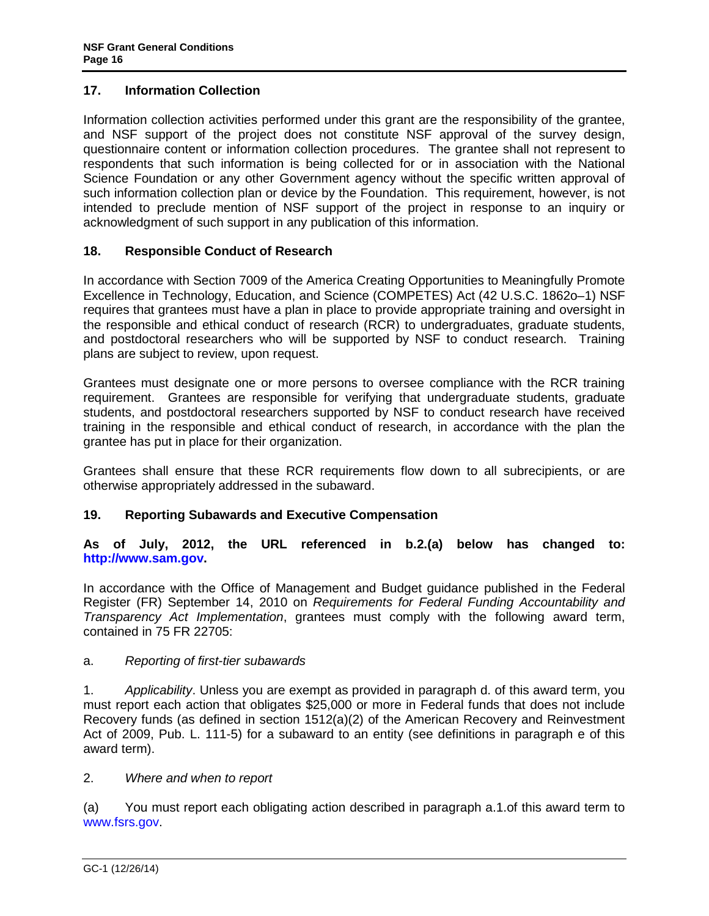## <span id="page-15-0"></span>**17. Information Collection**

Information collection activities performed under this grant are the responsibility of the grantee, and NSF support of the project does not constitute NSF approval of the survey design, questionnaire content or information collection procedures. The grantee shall not represent to respondents that such information is being collected for or in association with the National Science Foundation or any other Government agency without the specific written approval of such information collection plan or device by the Foundation. This requirement, however, is not intended to preclude mention of NSF support of the project in response to an inquiry or acknowledgment of such support in any publication of this information.

## **18. Responsible Conduct of Research**

In accordance with Section 7009 of the America Creating Opportunities to Meaningfully Promote Excellence in Technology, Education, and Science (COMPETES) Act (42 U.S.C. 1862o–1) NSF requires that grantees must have a plan in place to provide appropriate training and oversight in the responsible and ethical conduct of research (RCR) to undergraduates, graduate students, and postdoctoral researchers who will be supported by NSF to conduct research. Training plans are subject to review, upon request.

Grantees must designate one or more persons to oversee compliance with the RCR training requirement. Grantees are responsible for verifying that undergraduate students, graduate students, and postdoctoral researchers supported by NSF to conduct research have received training in the responsible and ethical conduct of research, in accordance with the plan the grantee has put in place for their organization.

Grantees shall ensure that these RCR requirements flow down to all subrecipients, or are otherwise appropriately addressed in the subaward.

## **19. Reporting Subawards and Executive Compensation**

**As of July, 2012, the URL referenced in b.2.(a) below has changed to: [http://www.sam.gov.](http://www.sam.gov/)** 

In accordance with the Office of Management and Budget guidance published in the Federal Register (FR) September 14, 2010 on *Requirements for Federal Funding Accountability and Transparency Act Implementation*, grantees must comply with the following award term, contained in 75 FR 22705:

## a. *Reporting of first-tier subawards*

1. *Applicability*. Unless you are exempt as provided in paragraph d. of this award term, you must report each action that obligates \$25,000 or more in Federal funds that does not include Recovery funds (as defined in section 1512(a)(2) of the American Recovery and Reinvestment Act of 2009, Pub. L. 111-5) for a subaward to an entity (see definitions in paragraph e of this award term).

### 2. *Where and when to report*

(a) You must report each obligating action described in paragraph a.1.of this award term to [www.fsrs.gov.](http://www.fsrs.gov/)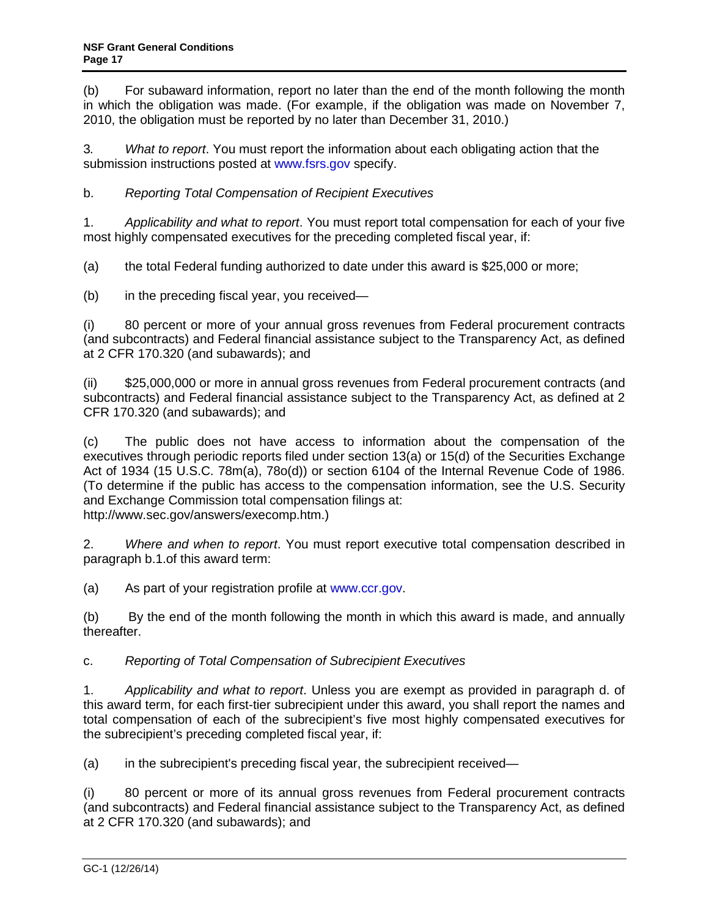(b) For subaward information, report no later than the end of the month following the month in which the obligation was made. (For example, if the obligation was made on November 7, 2010, the obligation must be reported by no later than December 31, 2010.)

3*. What to report*. You must report the information about each obligating action that the submission instructions posted at [www.fsrs.gov](http://www.fsrs.gov/) specify.

b. *Reporting Total Compensation of Recipient Executives*

1. *Applicability and what to report*. You must report total compensation for each of your five most highly compensated executives for the preceding completed fiscal year, if:

(a) the total Federal funding authorized to date under this award is \$25,000 or more;

(b) in the preceding fiscal year, you received—

(i) 80 percent or more of your annual gross revenues from Federal procurement contracts (and subcontracts) and Federal financial assistance subject to the Transparency Act, as defined at 2 CFR 170.320 (and subawards); and

(ii) \$25,000,000 or more in annual gross revenues from Federal procurement contracts (and subcontracts) and Federal financial assistance subject to the Transparency Act, as defined at 2 CFR 170.320 (and subawards); and

(c) The public does not have access to information about the compensation of the executives through periodic reports filed under section 13(a) or 15(d) of the Securities Exchange Act of 1934 (15 U.S.C. 78m(a), 78o(d)) or section 6104 of the Internal Revenue Code of 1986. (To determine if the public has access to the compensation information, see the U.S. Security and Exchange Commission total compensation filings at: http://www.sec.gov/answers/execomp.htm.)

2. *Where and when to report*. You must report executive total compensation described in paragraph b.1.of this award term:

(a) As part of your registration profile at [www.ccr.gov.](http://www.sam.gov/)

(b) By the end of the month following the month in which this award is made, and annually thereafter.

## c. *Reporting of Total Compensation of Subrecipient Executives*

1. *Applicability and what to report*. Unless you are exempt as provided in paragraph d. of this award term, for each first-tier subrecipient under this award, you shall report the names and total compensation of each of the subrecipient's five most highly compensated executives for the subrecipient's preceding completed fiscal year, if:

(a) in the subrecipient's preceding fiscal year, the subrecipient received—

(i) 80 percent or more of its annual gross revenues from Federal procurement contracts (and subcontracts) and Federal financial assistance subject to the Transparency Act, as defined at 2 CFR 170.320 (and subawards); and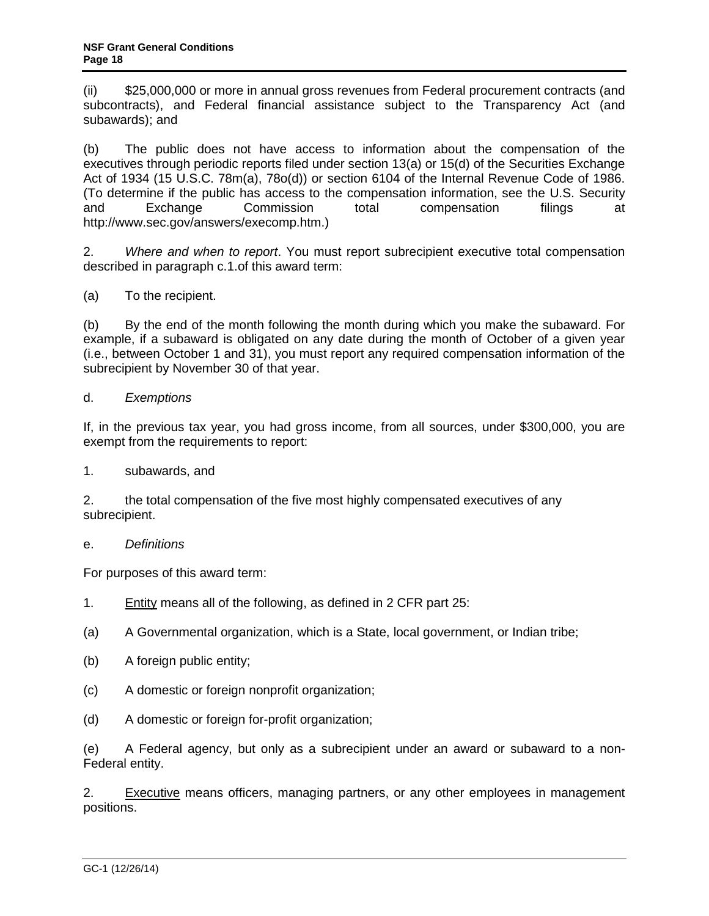(ii) \$25,000,000 or more in annual gross revenues from Federal procurement contracts (and subcontracts), and Federal financial assistance subject to the Transparency Act (and subawards); and

(b) The public does not have access to information about the compensation of the executives through periodic reports filed under section 13(a) or 15(d) of the Securities Exchange Act of 1934 (15 U.S.C. 78m(a), 78o(d)) or section 6104 of the Internal Revenue Code of 1986. (To determine if the public has access to the compensation information, see the U.S. Security and Exchange Commission total compensation filings at http://www.sec.gov/answers/execomp.htm.)

2. *Where and when to report*. You must report subrecipient executive total compensation described in paragraph c.1.of this award term:

(a) To the recipient.

(b) By the end of the month following the month during which you make the subaward. For example, if a subaward is obligated on any date during the month of October of a given year (i.e., between October 1 and 31), you must report any required compensation information of the subrecipient by November 30 of that year.

### d. *Exemptions*

If, in the previous tax year, you had gross income, from all sources, under \$300,000, you are exempt from the requirements to report:

1. subawards, and

2. the total compensation of the five most highly compensated executives of any subrecipient.

### e. *Definitions*

For purposes of this award term:

- 1. Entity means all of the following, as defined in 2 CFR part 25:
- (a) A Governmental organization, which is a State, local government, or Indian tribe;
- (b) A foreign public entity;
- (c) A domestic or foreign nonprofit organization;
- (d) A domestic or foreign for-profit organization;

(e) A Federal agency, but only as a subrecipient under an award or subaward to a non-Federal entity.

2. Executive means officers, managing partners, or any other employees in management positions.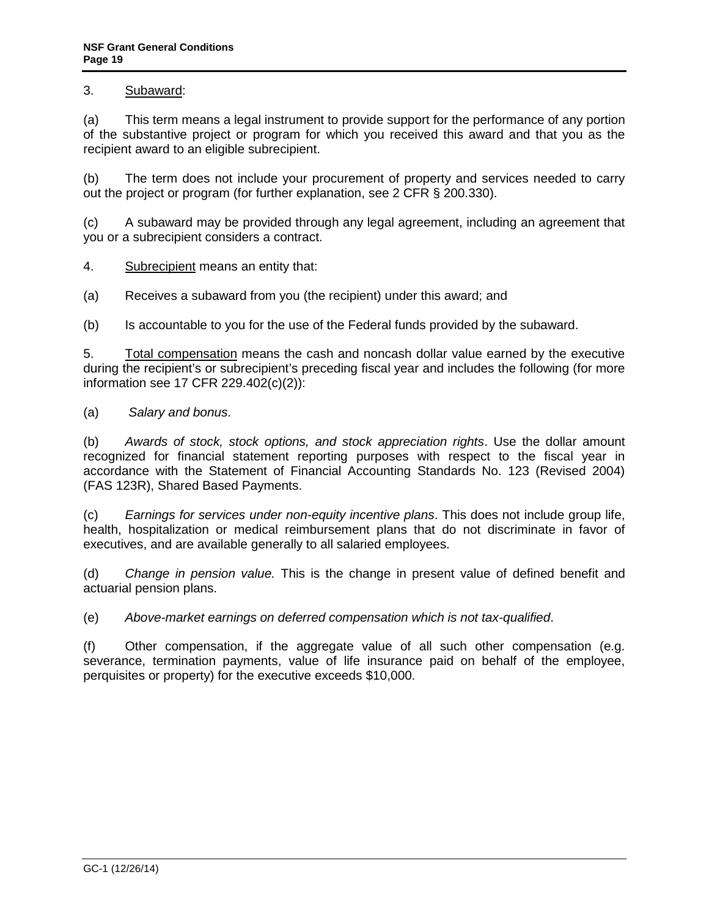## 3. Subaward:

(a) This term means a legal instrument to provide support for the performance of any portion of the substantive project or program for which you received this award and that you as the recipient award to an eligible subrecipient.

(b) The term does not include your procurement of property and services needed to carry out the project or program (for further explanation, see 2 CFR § 200.330).

(c) A subaward may be provided through any legal agreement, including an agreement that you or a subrecipient considers a contract.

4. Subrecipient means an entity that:

(a) Receives a subaward from you (the recipient) under this award; and

(b) Is accountable to you for the use of the Federal funds provided by the subaward.

5. Total compensation means the cash and noncash dollar value earned by the executive during the recipient's or subrecipient's preceding fiscal year and includes the following (for more information see 17 CFR 229.402(c)(2)):

(a) *Salary and bonus*.

(b) *Awards of stock, stock options, and stock appreciation rights*. Use the dollar amount recognized for financial statement reporting purposes with respect to the fiscal year in accordance with the Statement of Financial Accounting Standards No. 123 (Revised 2004) (FAS 123R), Shared Based Payments.

(c) *Earnings for services under non-equity incentive plans*. This does not include group life, health, hospitalization or medical reimbursement plans that do not discriminate in favor of executives, and are available generally to all salaried employees.

(d) *Change in pension value.* This is the change in present value of defined benefit and actuarial pension plans.

(e) *Above-market earnings on deferred compensation which is not tax-qualified*.

(f) Other compensation, if the aggregate value of all such other compensation (e.g. severance, termination payments, value of life insurance paid on behalf of the employee, perquisites or property) for the executive exceeds \$10,000.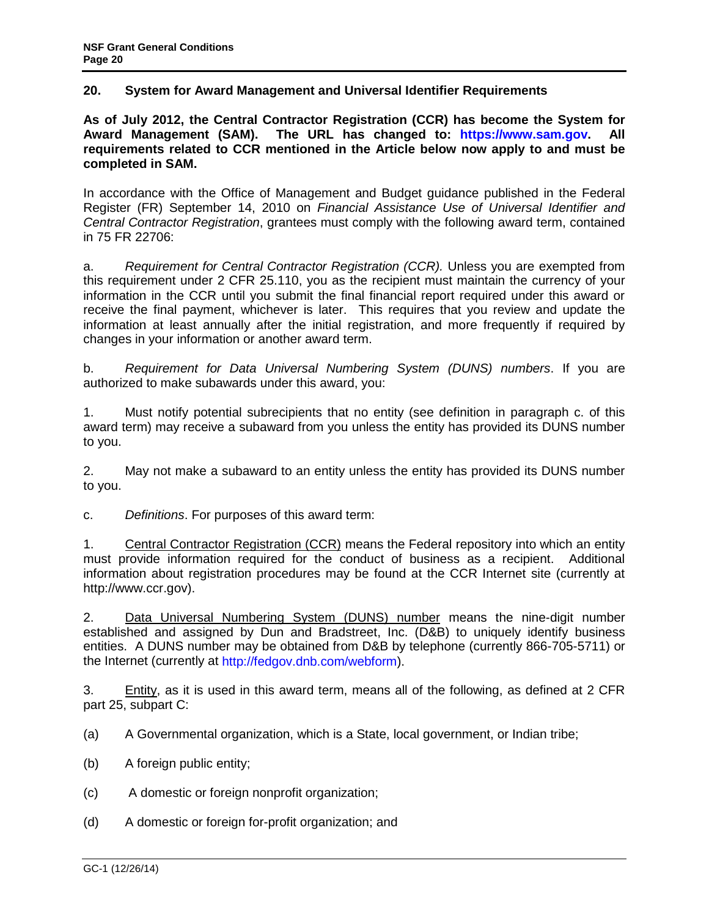### <span id="page-19-0"></span>**20. System for Award Management and Universal Identifier Requirements**

**As of July 2012, the Central Contractor Registration (CCR) has become the System for Award Management (SAM). The URL has changed to: [https://www.sam.gov.](https://www.sam.gov/) All requirements related to CCR mentioned in the Article below now apply to and must be completed in SAM.** 

In accordance with the Office of Management and Budget guidance published in the Federal Register (FR) September 14, 2010 on *Financial Assistance Use of Universal Identifier and Central Contractor Registration*, grantees must comply with the following award term, contained in 75 FR 22706:

a. *Requirement for Central Contractor Registration (CCR).* Unless you are exempted from this requirement under 2 CFR 25.110, you as the recipient must maintain the currency of your information in the CCR until you submit the final financial report required under this award or receive the final payment, whichever is later. This requires that you review and update the information at least annually after the initial registration, and more frequently if required by changes in your information or another award term.

b. *Requirement for Data Universal Numbering System (DUNS) numbers*. If you are authorized to make subawards under this award, you:

1. Must notify potential subrecipients that no entity (see definition in paragraph c. of this award term) may receive a subaward from you unless the entity has provided its DUNS number to you.

2. May not make a subaward to an entity unless the entity has provided its DUNS number to you.

c. *Definitions*. For purposes of this award term:

1. Central Contractor Registration (CCR) means the Federal repository into which an entity must provide information required for the conduct of business as a recipient. Additional information about registration procedures may be found at the CCR Internet site (currently at http://www.ccr.gov).

2. Data Universal Numbering System (DUNS) number means the nine-digit number established and assigned by Dun and Bradstreet, Inc. (D&B) to uniquely identify business entities. A DUNS number may be obtained from D&B by telephone (currently 866-705-5711) or the Internet (currently at [http://fedgov.dnb.com/webform\)](http://fedgov.dnb.com/webform).

3. Entity, as it is used in this award term, means all of the following, as defined at 2 CFR part 25, subpart C:

(a) A Governmental organization, which is a State, local government, or Indian tribe;

- (b) A foreign public entity;
- (c) A domestic or foreign nonprofit organization;
- (d) A domestic or foreign for-profit organization; and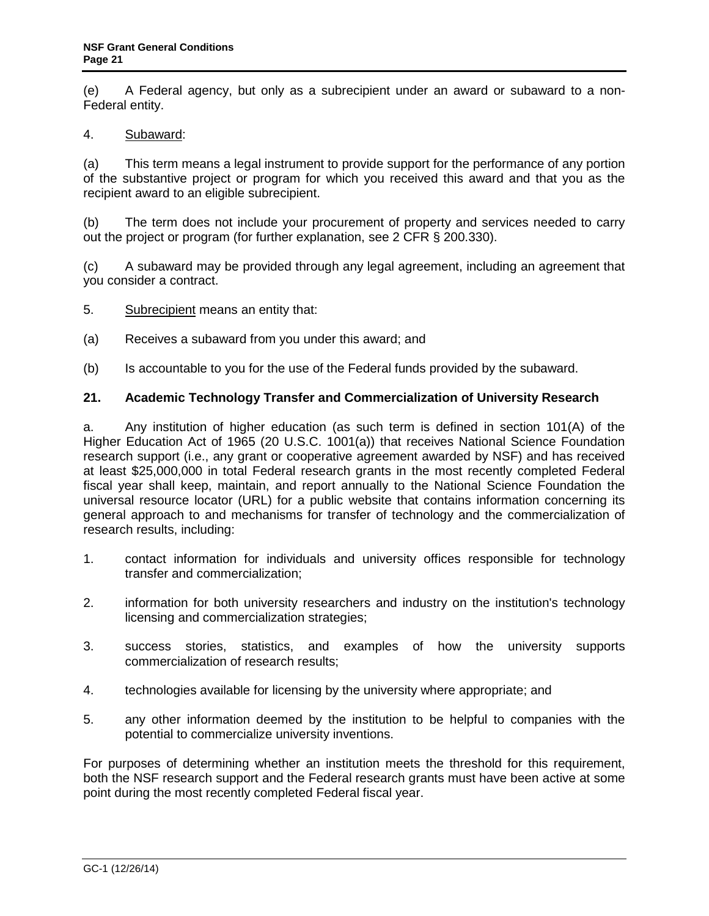<span id="page-20-0"></span>(e) A Federal agency, but only as a subrecipient under an award or subaward to a non-Federal entity.

### 4. Subaward:

(a) This term means a legal instrument to provide support for the performance of any portion of the substantive project or program for which you received this award and that you as the recipient award to an eligible subrecipient.

(b) The term does not include your procurement of property and services needed to carry out the project or program (for further explanation, see 2 CFR § 200.330).

(c) A subaward may be provided through any legal agreement, including an agreement that you consider a contract.

- 5. Subrecipient means an entity that:
- (a) Receives a subaward from you under this award; and
- (b) Is accountable to you for the use of the Federal funds provided by the subaward.

### **21. Academic Technology Transfer and Commercialization of University Research**

a. Any institution of higher education (as such term is defined in section 101(A) of the Higher Education Act of 1965 (20 U.S.C. 1001(a)) that receives National Science Foundation research support (i.e., any grant or cooperative agreement awarded by NSF) and has received at least \$25,000,000 in total Federal research grants in the most recently completed Federal fiscal year shall keep, maintain, and report annually to the National Science Foundation the universal resource locator (URL) for a public website that contains information concerning its general approach to and mechanisms for transfer of technology and the commercialization of research results, including:

- 1. contact information for individuals and university offices responsible for technology transfer and commercialization;
- 2. information for both university researchers and industry on the institution's technology licensing and commercialization strategies;
- 3. success stories, statistics, and examples of how the university supports commercialization of research results;
- 4. technologies available for licensing by the university where appropriate; and
- 5. any other information deemed by the institution to be helpful to companies with the potential to commercialize university inventions.

For purposes of determining whether an institution meets the threshold for this requirement, both the NSF research support and the Federal research grants must have been active at some point during the most recently completed Federal fiscal year.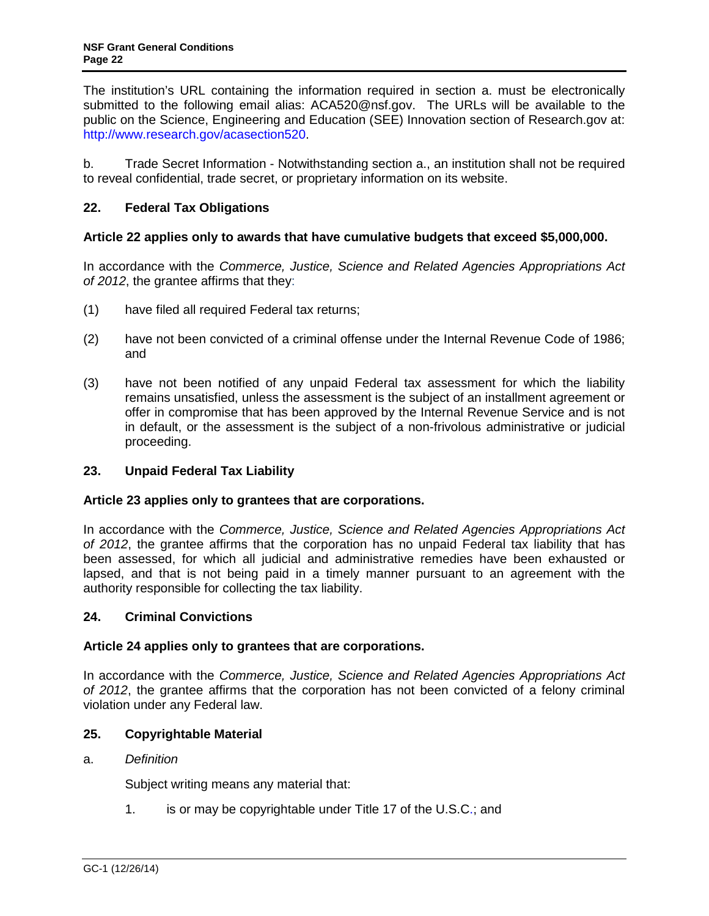<span id="page-21-0"></span>The institution's URL containing the information required in section a. must be electronically submitted to the following email alias: ACA520@nsf.gov. The URLs will be available to the public on the Science, Engineering and Education (SEE) Innovation section of Research.gov at: [http://www.research.gov/acasection520.](http://www.research.gov/acasection520)

b. Trade Secret Information - Notwithstanding section a., an institution shall not be required to reveal confidential, trade secret, or proprietary information on its website.

## **22. Federal Tax Obligations**

## **Article 22 applies only to awards that have cumulative budgets that exceed \$5,000,000.**

In accordance with the *Commerce, Justice, Science and Related Agencies Appropriations Act of 2012*, the grantee affirms that they:

- (1) have filed all required Federal tax returns;
- (2) have not been convicted of a criminal offense under the Internal Revenue Code of 1986; and
- (3) have not been notified of any unpaid Federal tax assessment for which the liability remains unsatisfied, unless the assessment is the subject of an installment agreement or offer in compromise that has been approved by the Internal Revenue Service and is not in default, or the assessment is the subject of a non-frivolous administrative or judicial proceeding.

## **23. Unpaid Federal Tax Liability**

### **Article 23 applies only to grantees that are corporations.**

In accordance with the *Commerce, Justice, Science and Related Agencies Appropriations Act of 2012*, the grantee affirms that the corporation has no unpaid Federal tax liability that has been assessed, for which all judicial and administrative remedies have been exhausted or lapsed, and that is not being paid in a timely manner pursuant to an agreement with the authority responsible for collecting the tax liability.

## **24. Criminal Convictions**

### **Article 24 applies only to grantees that are corporations.**

In accordance with the *Commerce, Justice, Science and Related Agencies Appropriations Act of 2012*, the grantee affirms that the corporation has not been convicted of a felony criminal violation under any Federal law.

### **25. Copyrightable Material**

### a. *Definition*

Subject writing means any material that:

1. is or may be copyrightable under Title 17 of the U.S.C.; and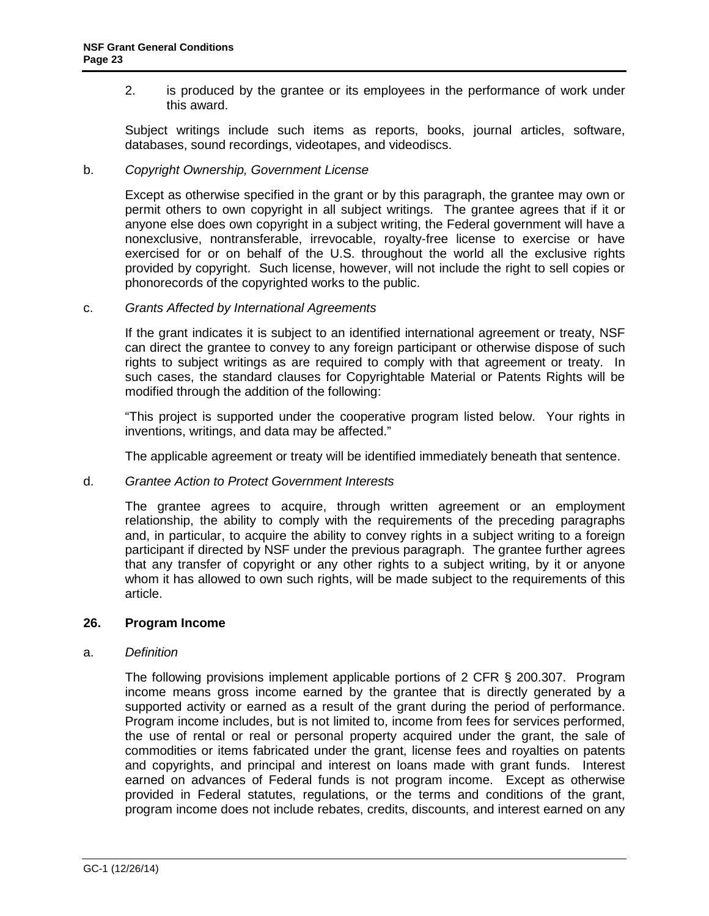<span id="page-22-0"></span>2. is produced by the grantee or its employees in the performance of work under this award.

Subject writings include such items as reports, books, journal articles, software, databases, sound recordings, videotapes, and videodiscs.

#### b. *Copyright Ownership, Government License*

Except as otherwise specified in the grant or by this paragraph, the grantee may own or permit others to own copyright in all subject writings. The grantee agrees that if it or anyone else does own copyright in a subject writing, the Federal government will have a nonexclusive, nontransferable, irrevocable, royalty-free license to exercise or have exercised for or on behalf of the U.S. throughout the world all the exclusive rights provided by copyright. Such license, however, will not include the right to sell copies or phonorecords of the copyrighted works to the public.

c. *Grants Affected by International Agreements*

If the grant indicates it is subject to an identified international agreement or treaty, NSF can direct the grantee to convey to any foreign participant or otherwise dispose of such rights to subject writings as are required to comply with that agreement or treaty. In such cases, the standard clauses for Copyrightable Material or Patents Rights will be modified through the addition of the following:

"This project is supported under the cooperative program listed below. Your rights in inventions, writings, and data may be affected."

The applicable agreement or treaty will be identified immediately beneath that sentence.

### d. *Grantee Action to Protect Government Interests*

The grantee agrees to acquire, through written agreement or an employment relationship, the ability to comply with the requirements of the preceding paragraphs and, in particular, to acquire the ability to convey rights in a subject writing to a foreign participant if directed by NSF under the previous paragraph. The grantee further agrees that any transfer of copyright or any other rights to a subject writing, by it or anyone whom it has allowed to own such rights, will be made subject to the requirements of this article.

#### **26. Program Income**

#### a. *Definition*

The following provisions implement applicable portions of 2 CFR § 200.307. Program income means gross income earned by the grantee that is directly generated by a supported activity or earned as a result of the grant during the period of performance. Program income includes, but is not limited to, income from fees for services performed, the use of rental or real or personal property acquired under the grant, the sale of commodities or items fabricated under the grant, license fees and royalties on patents and copyrights, and principal and interest on loans made with grant funds. Interest earned on advances of Federal funds is not program income. Except as otherwise provided in Federal statutes, regulations, or the terms and conditions of the grant, program income does not include rebates, credits, discounts, and interest earned on any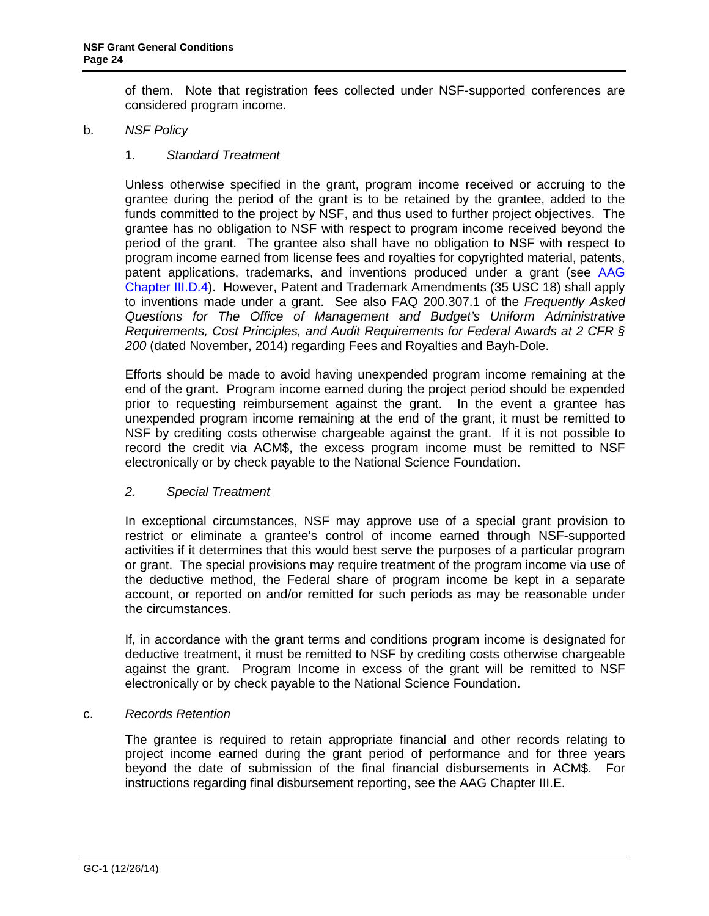of them. Note that registration fees collected under NSF-supported conferences are considered program income.

### b. *NSF Policy*

### 1. *Standard Treatment*

Unless otherwise specified in the grant, program income received or accruing to the grantee during the period of the grant is to be retained by the grantee, added to the funds committed to the project by NSF, and thus used to further project objectives. The grantee has no obligation to NSF with respect to program income received beyond the period of the grant. The grantee also shall have no obligation to NSF with respect to program income earned from license fees and royalties for copyrighted material, patents, patent applications, trademarks, and inventions produced under a grant (see [AAG](http://www.nsf.gov/pubs/policydocs/pappguide/nsf15001/aag_3.jsp#IIID4)  [Chapter III.D.4\)](http://www.nsf.gov/pubs/policydocs/pappguide/nsf15001/aag_3.jsp#IIID4). However, Patent and Trademark Amendments (35 USC 18) shall apply to inventions made under a grant. See also FAQ 200.307.1 of the *Frequently Asked Questions for The Office of Management and Budget's Uniform Administrative Requirements, Cost Principles, and Audit Requirements for Federal Awards at 2 CFR § 200* (dated November, 2014) regarding Fees and Royalties and Bayh-Dole.

Efforts should be made to avoid having unexpended program income remaining at the end of the grant. Program income earned during the project period should be expended prior to requesting reimbursement against the grant. In the event a grantee has unexpended program income remaining at the end of the grant, it must be remitted to NSF by crediting costs otherwise chargeable against the grant. If it is not possible to record the credit via ACM\$, the excess program income must be remitted to NSF electronically or by check payable to the National Science Foundation.

### *2. Special Treatment*

In exceptional circumstances, NSF may approve use of a special grant provision to restrict or eliminate a grantee's control of income earned through NSF-supported activities if it determines that this would best serve the purposes of a particular program or grant. The special provisions may require treatment of the program income via use of the deductive method, the Federal share of program income be kept in a separate account, or reported on and/or remitted for such periods as may be reasonable under the circumstances.

If, in accordance with the grant terms and conditions program income is designated for deductive treatment, it must be remitted to NSF by crediting costs otherwise chargeable against the grant. Program Income in excess of the grant will be remitted to NSF electronically or by check payable to the National Science Foundation.

### c. *Records Retention*

The grantee is required to retain appropriate financial and other records relating to project income earned during the grant period of performance and for three years beyond the date of submission of the final financial disbursements in ACM\$. For instructions regarding final disbursement reporting, see the AAG Chapter III.E.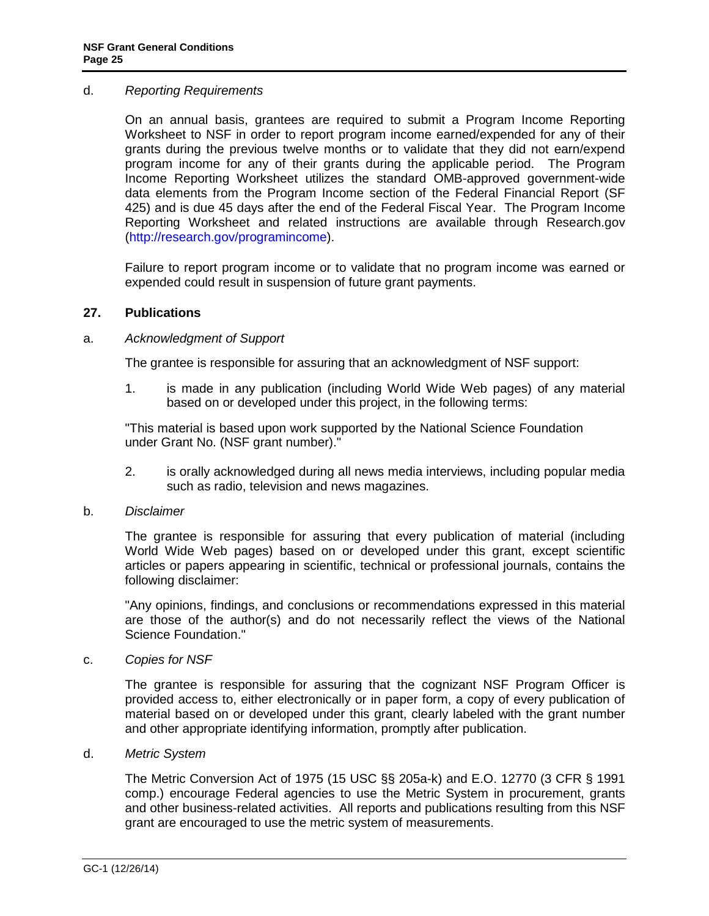#### <span id="page-24-0"></span>d. *Reporting Requirements*

On an annual basis, grantees are required to submit a Program Income Reporting Worksheet to NSF in order to report program income earned/expended for any of their grants during the previous twelve months or to validate that they did not earn/expend program income for any of their grants during the applicable period. The Program Income Reporting Worksheet utilizes the standard OMB-approved government-wide data elements from the Program Income section of the Federal Financial Report (SF 425) and is due 45 days after the end of the Federal Fiscal Year. The Program Income Reporting Worksheet and related instructions are available through Research.gov [\(http://research.gov/programincome\)](http://research.gov/programincome).

Failure to report program income or to validate that no program income was earned or expended could result in suspension of future grant payments.

#### **27. Publications**

#### a. *Acknowledgment of Support*

The grantee is responsible for assuring that an acknowledgment of NSF support:

1. is made in any publication (including World Wide Web pages) of any material based on or developed under this project, in the following terms:

"This material is based upon work supported by the National Science Foundation under Grant No. (NSF grant number)."

2. is orally acknowledged during all news media interviews, including popular media such as radio, television and news magazines.

#### b. *Disclaimer*

The grantee is responsible for assuring that every publication of material (including World Wide Web pages) based on or developed under this grant, except scientific articles or papers appearing in scientific, technical or professional journals, contains the following disclaimer:

"Any opinions, findings, and conclusions or recommendations expressed in this material are those of the author(s) and do not necessarily reflect the views of the National Science Foundation."

c. *Copies for NSF*

The grantee is responsible for assuring that the cognizant NSF Program Officer is provided access to, either electronically or in paper form, a copy of every publication of material based on or developed under this grant, clearly labeled with the grant number and other appropriate identifying information, promptly after publication.

d. *Metric System*

The Metric Conversion Act of 1975 (15 USC §§ 205a-k) and E.O. 12770 (3 CFR § 1991 comp.) encourage Federal agencies to use the Metric System in procurement, grants and other business-related activities. All reports and publications resulting from this NSF grant are encouraged to use the metric system of measurements.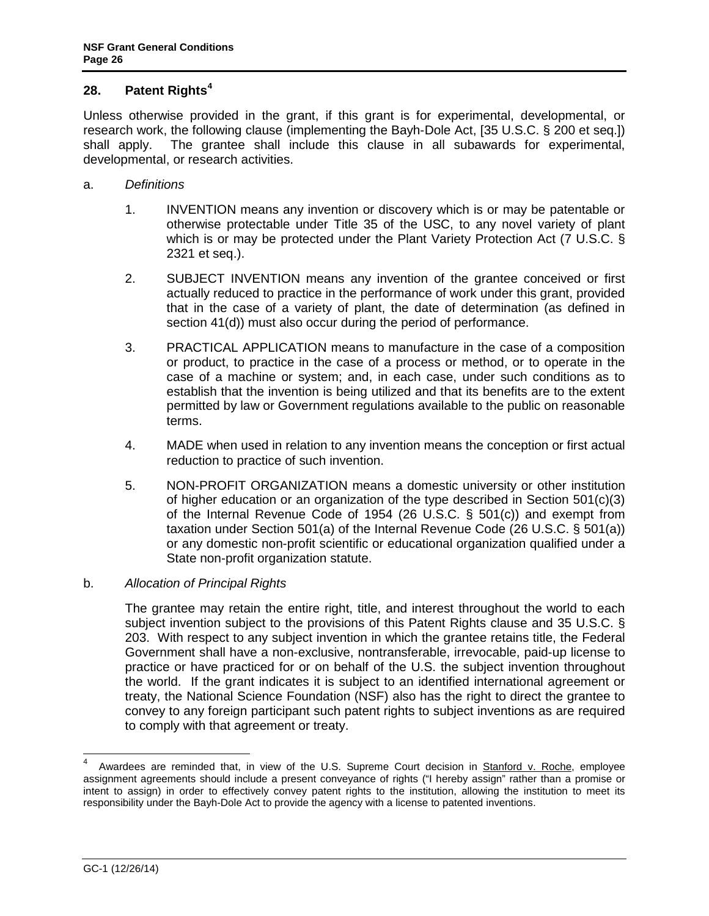## <span id="page-25-0"></span>**28. Patent Rights<sup>4</sup>**

Unless otherwise provided in the grant, if this grant is for experimental, developmental, or research work, the following clause (implementing the Bayh-Dole Act, [35 U.S.C. § 200 et seq.]) shall apply. The grantee shall include this clause in all subawards for experimental, developmental, or research activities.

- a. *Definitions*
	- 1. INVENTION means any invention or discovery which is or may be patentable or otherwise protectable under Title 35 of the USC, to any novel variety of plant which is or may be protected under the Plant Variety Protection Act (7 U.S.C. § 2321 et seq.).
	- 2. SUBJECT INVENTION means any invention of the grantee conceived or first actually reduced to practice in the performance of work under this grant, provided that in the case of a variety of plant, the date of determination (as defined in section 41(d)) must also occur during the period of performance.
	- 3. PRACTICAL APPLICATION means to manufacture in the case of a composition or product, to practice in the case of a process or method, or to operate in the case of a machine or system; and, in each case, under such conditions as to establish that the invention is being utilized and that its benefits are to the extent permitted by law or Government regulations available to the public on reasonable terms.
	- 4. MADE when used in relation to any invention means the conception or first actual reduction to practice of such invention.
	- 5. NON-PROFIT ORGANIZATION means a domestic university or other institution of higher education or an organization of the type described in Section 501(c)(3) of the Internal Revenue Code of 1954 (26 U.S.C. § 501(c)) and exempt from taxation under Section 501(a) of the Internal Revenue Code (26 U.S.C. § 501(a)) or any domestic non-profit scientific or educational organization qualified under a State non-profit organization statute.

### b. *Allocation of Principal Rights*

The grantee may retain the entire right, title, and interest throughout the world to each subject invention subject to the provisions of this Patent Rights clause and 35 U.S.C. § 203. With respect to any subject invention in which the grantee retains title, the Federal Government shall have a non-exclusive, nontransferable, irrevocable, paid-up license to practice or have practiced for or on behalf of the U.S. the subject invention throughout the world. If the grant indicates it is subject to an identified international agreement or treaty, the National Science Foundation (NSF) also has the right to direct the grantee to convey to any foreign participant such patent rights to subject inventions as are required to comply with that agreement or treaty.

 <sup>4</sup> Awardees are reminded that, in view of the U.S. Supreme Court decision in Stanford v. Roche, employee assignment agreements should include a present conveyance of rights ("I hereby assign" rather than a promise or intent to assign) in order to effectively convey patent rights to the institution, allowing the institution to meet its responsibility under the Bayh-Dole Act to provide the agency with a license to patented inventions.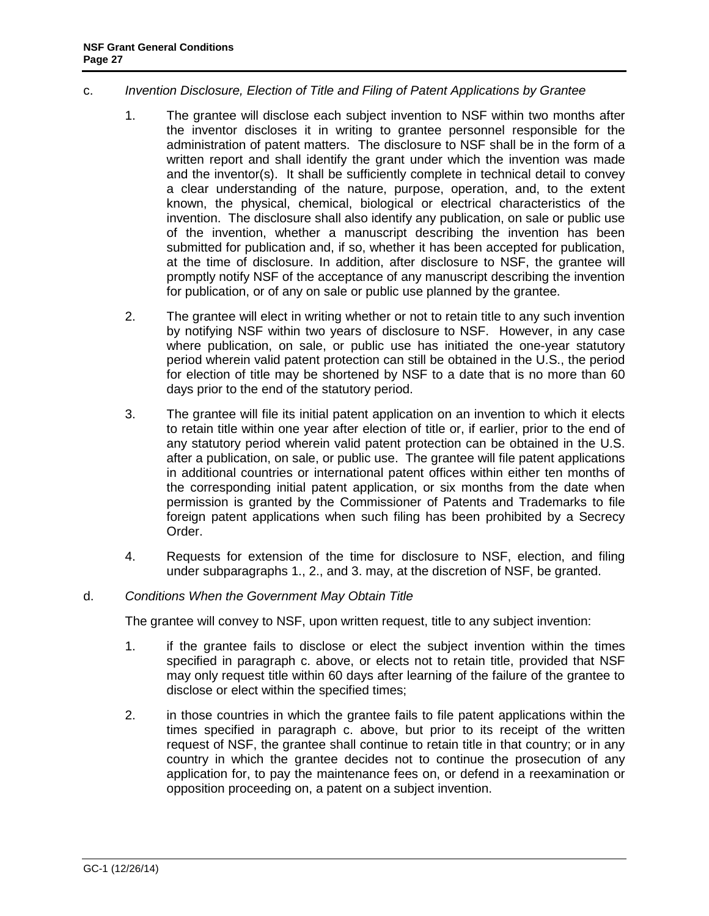### c. *Invention Disclosure, Election of Title and Filing of Patent Applications by Grantee*

- 1. The grantee will disclose each subject invention to NSF within two months after the inventor discloses it in writing to grantee personnel responsible for the administration of patent matters. The disclosure to NSF shall be in the form of a written report and shall identify the grant under which the invention was made and the inventor(s). It shall be sufficiently complete in technical detail to convey a clear understanding of the nature, purpose, operation, and, to the extent known, the physical, chemical, biological or electrical characteristics of the invention. The disclosure shall also identify any publication, on sale or public use of the invention, whether a manuscript describing the invention has been submitted for publication and, if so, whether it has been accepted for publication, at the time of disclosure. In addition, after disclosure to NSF, the grantee will promptly notify NSF of the acceptance of any manuscript describing the invention for publication, or of any on sale or public use planned by the grantee.
- 2. The grantee will elect in writing whether or not to retain title to any such invention by notifying NSF within two years of disclosure to NSF. However, in any case where publication, on sale, or public use has initiated the one-year statutory period wherein valid patent protection can still be obtained in the U.S., the period for election of title may be shortened by NSF to a date that is no more than 60 days prior to the end of the statutory period.
- 3. The grantee will file its initial patent application on an invention to which it elects to retain title within one year after election of title or, if earlier, prior to the end of any statutory period wherein valid patent protection can be obtained in the U.S. after a publication, on sale, or public use. The grantee will file patent applications in additional countries or international patent offices within either ten months of the corresponding initial patent application, or six months from the date when permission is granted by the Commissioner of Patents and Trademarks to file foreign patent applications when such filing has been prohibited by a Secrecy Order.
- 4. Requests for extension of the time for disclosure to NSF, election, and filing under subparagraphs 1., 2., and 3. may, at the discretion of NSF, be granted.

## d. *Conditions When the Government May Obtain Title*

The grantee will convey to NSF, upon written request, title to any subject invention:

- 1. if the grantee fails to disclose or elect the subject invention within the times specified in paragraph c. above, or elects not to retain title, provided that NSF may only request title within 60 days after learning of the failure of the grantee to disclose or elect within the specified times;
- 2. in those countries in which the grantee fails to file patent applications within the times specified in paragraph c. above, but prior to its receipt of the written request of NSF, the grantee shall continue to retain title in that country; or in any country in which the grantee decides not to continue the prosecution of any application for, to pay the maintenance fees on, or defend in a reexamination or opposition proceeding on, a patent on a subject invention.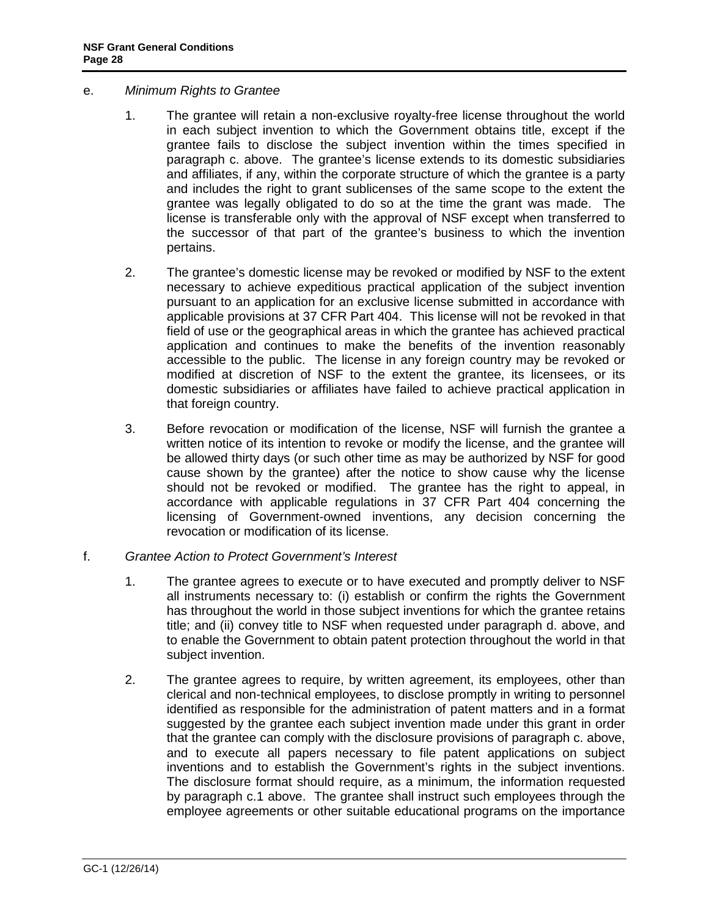- e. *Minimum Rights to Grantee*
	- 1. The grantee will retain a non-exclusive royalty-free license throughout the world in each subject invention to which the Government obtains title, except if the grantee fails to disclose the subject invention within the times specified in paragraph c. above. The grantee's license extends to its domestic subsidiaries and affiliates, if any, within the corporate structure of which the grantee is a party and includes the right to grant sublicenses of the same scope to the extent the grantee was legally obligated to do so at the time the grant was made. The license is transferable only with the approval of NSF except when transferred to the successor of that part of the grantee's business to which the invention pertains.
	- 2. The grantee's domestic license may be revoked or modified by NSF to the extent necessary to achieve expeditious practical application of the subject invention pursuant to an application for an exclusive license submitted in accordance with applicable provisions at 37 CFR Part 404. This license will not be revoked in that field of use or the geographical areas in which the grantee has achieved practical application and continues to make the benefits of the invention reasonably accessible to the public. The license in any foreign country may be revoked or modified at discretion of NSF to the extent the grantee, its licensees, or its domestic subsidiaries or affiliates have failed to achieve practical application in that foreign country.
	- 3. Before revocation or modification of the license, NSF will furnish the grantee a written notice of its intention to revoke or modify the license, and the grantee will be allowed thirty days (or such other time as may be authorized by NSF for good cause shown by the grantee) after the notice to show cause why the license should not be revoked or modified. The grantee has the right to appeal, in accordance with applicable regulations in 37 CFR Part 404 concerning the licensing of Government-owned inventions, any decision concerning the revocation or modification of its license.
- f. *Grantee Action to Protect Government's Interest*
	- 1. The grantee agrees to execute or to have executed and promptly deliver to NSF all instruments necessary to: (i) establish or confirm the rights the Government has throughout the world in those subject inventions for which the grantee retains title; and (ii) convey title to NSF when requested under paragraph d. above, and to enable the Government to obtain patent protection throughout the world in that subject invention.
	- 2. The grantee agrees to require, by written agreement, its employees, other than clerical and non-technical employees, to disclose promptly in writing to personnel identified as responsible for the administration of patent matters and in a format suggested by the grantee each subject invention made under this grant in order that the grantee can comply with the disclosure provisions of paragraph c. above, and to execute all papers necessary to file patent applications on subject inventions and to establish the Government's rights in the subject inventions. The disclosure format should require, as a minimum, the information requested by paragraph c.1 above. The grantee shall instruct such employees through the employee agreements or other suitable educational programs on the importance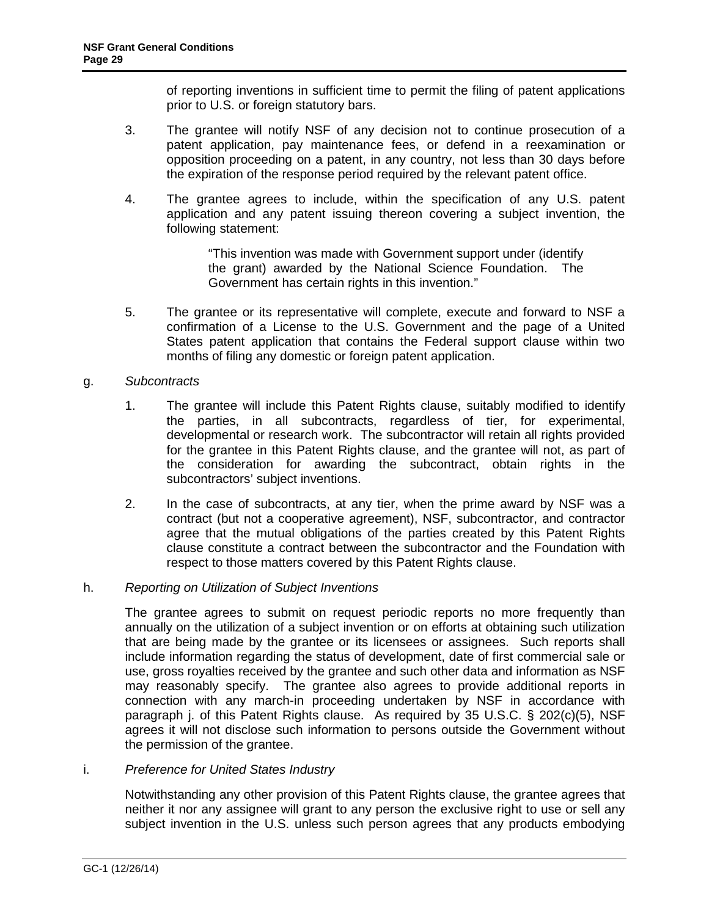of reporting inventions in sufficient time to permit the filing of patent applications prior to U.S. or foreign statutory bars.

- 3. The grantee will notify NSF of any decision not to continue prosecution of a patent application, pay maintenance fees, or defend in a reexamination or opposition proceeding on a patent, in any country, not less than 30 days before the expiration of the response period required by the relevant patent office.
- 4. The grantee agrees to include, within the specification of any U.S. patent application and any patent issuing thereon covering a subject invention, the following statement:

"This invention was made with Government support under (identify the grant) awarded by the National Science Foundation. The Government has certain rights in this invention."

5. The grantee or its representative will complete, execute and forward to NSF a confirmation of a License to the U.S. Government and the page of a United States patent application that contains the Federal support clause within two months of filing any domestic or foreign patent application.

### g. *Subcontracts*

- 1. The grantee will include this Patent Rights clause, suitably modified to identify the parties, in all subcontracts, regardless of tier, for experimental, developmental or research work. The subcontractor will retain all rights provided for the grantee in this Patent Rights clause, and the grantee will not, as part of the consideration for awarding the subcontract, obtain rights in the subcontractors' subject inventions.
- 2. In the case of subcontracts, at any tier, when the prime award by NSF was a contract (but not a cooperative agreement), NSF, subcontractor, and contractor agree that the mutual obligations of the parties created by this Patent Rights clause constitute a contract between the subcontractor and the Foundation with respect to those matters covered by this Patent Rights clause.

### h. *Reporting on Utilization of Subject Inventions*

The grantee agrees to submit on request periodic reports no more frequently than annually on the utilization of a subject invention or on efforts at obtaining such utilization that are being made by the grantee or its licensees or assignees. Such reports shall include information regarding the status of development, date of first commercial sale or use, gross royalties received by the grantee and such other data and information as NSF may reasonably specify. The grantee also agrees to provide additional reports in connection with any march-in proceeding undertaken by NSF in accordance with paragraph j. of this Patent Rights clause. As required by 35 U.S.C. § 202(c)(5), NSF agrees it will not disclose such information to persons outside the Government without the permission of the grantee.

## i. *Preference for United States Industry*

Notwithstanding any other provision of this Patent Rights clause, the grantee agrees that neither it nor any assignee will grant to any person the exclusive right to use or sell any subject invention in the U.S. unless such person agrees that any products embodying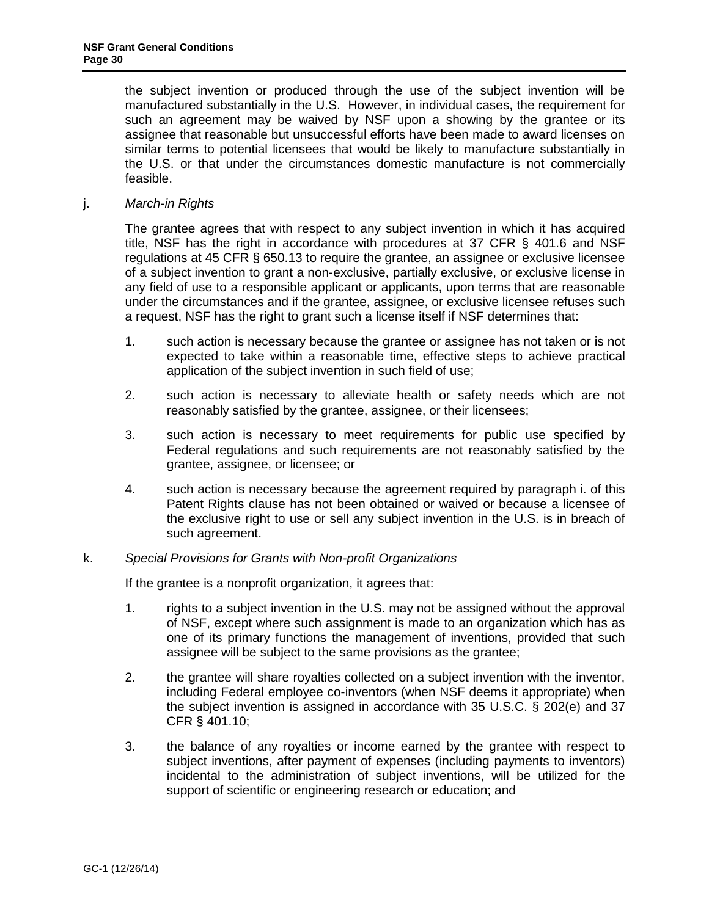the subject invention or produced through the use of the subject invention will be manufactured substantially in the U.S. However, in individual cases, the requirement for such an agreement may be waived by NSF upon a showing by the grantee or its assignee that reasonable but unsuccessful efforts have been made to award licenses on similar terms to potential licensees that would be likely to manufacture substantially in the U.S. or that under the circumstances domestic manufacture is not commercially feasible.

j. *March-in Rights*

The grantee agrees that with respect to any subject invention in which it has acquired title, NSF has the right in accordance with procedures at 37 CFR § 401.6 and NSF regulations at 45 CFR § 650.13 to require the grantee, an assignee or exclusive licensee of a subject invention to grant a non-exclusive, partially exclusive, or exclusive license in any field of use to a responsible applicant or applicants, upon terms that are reasonable under the circumstances and if the grantee, assignee, or exclusive licensee refuses such a request, NSF has the right to grant such a license itself if NSF determines that:

- 1. such action is necessary because the grantee or assignee has not taken or is not expected to take within a reasonable time, effective steps to achieve practical application of the subject invention in such field of use;
- 2. such action is necessary to alleviate health or safety needs which are not reasonably satisfied by the grantee, assignee, or their licensees;
- 3. such action is necessary to meet requirements for public use specified by Federal regulations and such requirements are not reasonably satisfied by the grantee, assignee, or licensee; or
- 4. such action is necessary because the agreement required by paragraph i. of this Patent Rights clause has not been obtained or waived or because a licensee of the exclusive right to use or sell any subject invention in the U.S. is in breach of such agreement.

### k. *Special Provisions for Grants with Non-profit Organizations*

If the grantee is a nonprofit organization, it agrees that:

- 1. rights to a subject invention in the U.S. may not be assigned without the approval of NSF, except where such assignment is made to an organization which has as one of its primary functions the management of inventions, provided that such assignee will be subject to the same provisions as the grantee;
- 2. the grantee will share royalties collected on a subject invention with the inventor, including Federal employee co-inventors (when NSF deems it appropriate) when the subject invention is assigned in accordance with 35 U.S.C. § 202(e) and 37 CFR § 401.10;
- 3. the balance of any royalties or income earned by the grantee with respect to subject inventions, after payment of expenses (including payments to inventors) incidental to the administration of subject inventions, will be utilized for the support of scientific or engineering research or education; and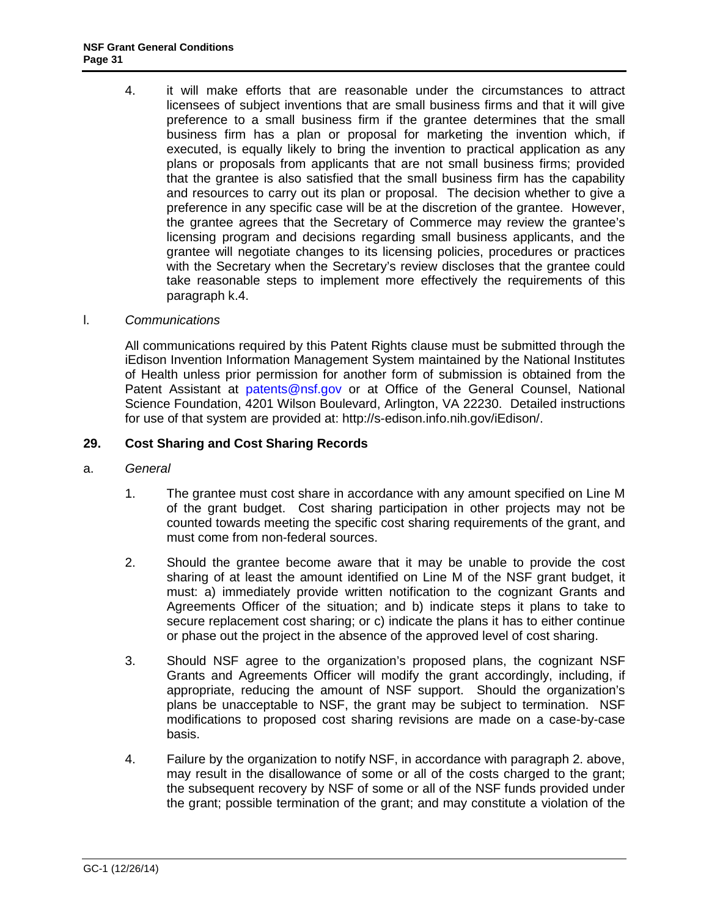<span id="page-30-0"></span>4. it will make efforts that are reasonable under the circumstances to attract licensees of subject inventions that are small business firms and that it will give preference to a small business firm if the grantee determines that the small business firm has a plan or proposal for marketing the invention which, if executed, is equally likely to bring the invention to practical application as any plans or proposals from applicants that are not small business firms; provided that the grantee is also satisfied that the small business firm has the capability and resources to carry out its plan or proposal. The decision whether to give a preference in any specific case will be at the discretion of the grantee. However, the grantee agrees that the Secretary of Commerce may review the grantee's licensing program and decisions regarding small business applicants, and the grantee will negotiate changes to its licensing policies, procedures or practices with the Secretary when the Secretary's review discloses that the grantee could take reasonable steps to implement more effectively the requirements of this paragraph k.4.

### l. *Communications*

All communications required by this Patent Rights clause must be submitted through the iEdison Invention Information Management System maintained by the National Institutes of Health unless prior permission for another form of submission is obtained from the Patent Assistant at [patents@nsf.gov](mailto:patents@nsf.gov) or at Office of the General Counsel, National Science Foundation, 4201 Wilson Boulevard, Arlington, VA 22230. Detailed instructions for use of that system are provided at: http://s-edison.info.nih.gov/iEdison/.

## **29. Cost Sharing and Cost Sharing Records**

- a. *General*
	- 1. The grantee must cost share in accordance with any amount specified on Line M of the grant budget. Cost sharing participation in other projects may not be counted towards meeting the specific cost sharing requirements of the grant, and must come from non-federal sources.
	- 2. Should the grantee become aware that it may be unable to provide the cost sharing of at least the amount identified on Line M of the NSF grant budget, it must: a) immediately provide written notification to the cognizant Grants and Agreements Officer of the situation; and b) indicate steps it plans to take to secure replacement cost sharing; or c) indicate the plans it has to either continue or phase out the project in the absence of the approved level of cost sharing.
	- 3. Should NSF agree to the organization's proposed plans, the cognizant NSF Grants and Agreements Officer will modify the grant accordingly, including, if appropriate, reducing the amount of NSF support. Should the organization's plans be unacceptable to NSF, the grant may be subject to termination. NSF modifications to proposed cost sharing revisions are made on a case-by-case basis.
	- 4. Failure by the organization to notify NSF, in accordance with paragraph 2. above, may result in the disallowance of some or all of the costs charged to the grant; the subsequent recovery by NSF of some or all of the NSF funds provided under the grant; possible termination of the grant; and may constitute a violation of the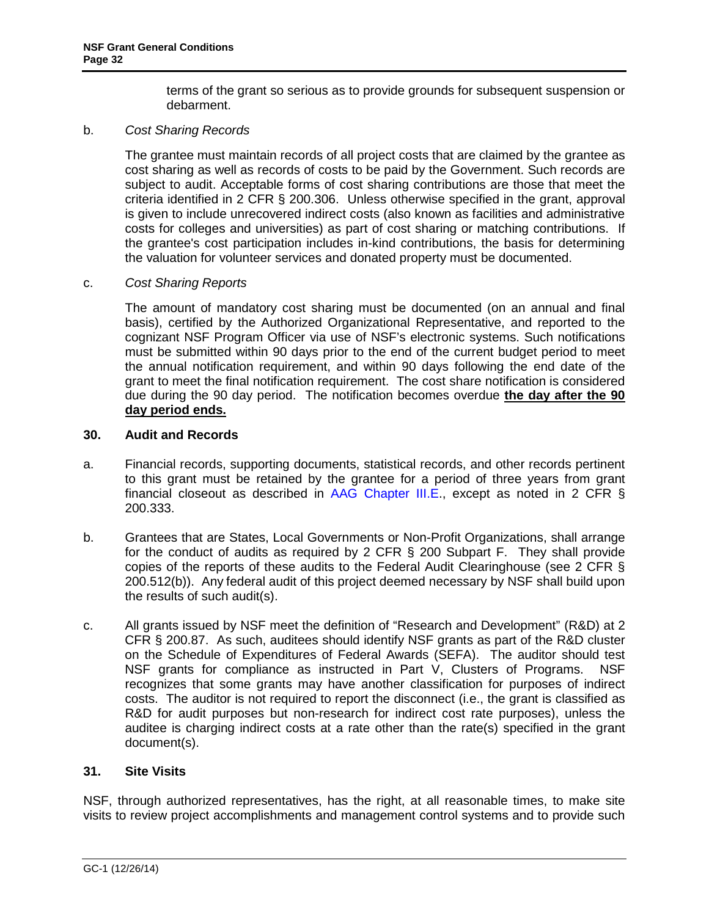terms of the grant so serious as to provide grounds for subsequent suspension or debarment.

### <span id="page-31-0"></span>b. *Cost Sharing Records*

The grantee must maintain records of all project costs that are claimed by the grantee as cost sharing as well as records of costs to be paid by the Government. Such records are subject to audit. Acceptable forms of cost sharing contributions are those that meet the criteria identified in 2 CFR § 200.306. Unless otherwise specified in the grant, approval is given to include unrecovered indirect costs (also known as facilities and administrative costs for colleges and universities) as part of cost sharing or matching contributions. If the grantee's cost participation includes in-kind contributions, the basis for determining the valuation for volunteer services and donated property must be documented.

#### c. *Cost Sharing Reports*

The amount of mandatory cost sharing must be documented (on an annual and final basis), certified by the Authorized Organizational Representative, and reported to the cognizant NSF Program Officer via use of NSF's electronic systems. Such notifications must be submitted within 90 days prior to the end of the current budget period to meet the annual notification requirement, and within 90 days following the end date of the grant to meet the final notification requirement. The cost share notification is considered due during the 90 day period. The notification becomes overdue **the day after the 90 day period ends.** 

#### **30. Audit and Records**

- a. Financial records, supporting documents, statistical records, and other records pertinent to this grant must be retained by the grantee for a period of three years from grant financial closeout as described in [AAG Chapter III.E.](http://www.nsf.gov/pubs/policydocs/pappguide/nsf15001/aag_3.jsp#IIIE), except as noted in 2 CFR § 200.333.
- b. Grantees that are States, Local Governments or Non-Profit Organizations, shall arrange for the conduct of audits as required by 2 CFR § 200 Subpart F. They shall provide copies of the reports of these audits to the Federal Audit Clearinghouse (see 2 CFR § 200.512(b)). Any federal audit of this project deemed necessary by NSF shall build upon the results of such audit(s).
- c. All grants issued by NSF meet the definition of "Research and Development" (R&D) at 2 CFR § 200.87. As such, auditees should identify NSF grants as part of the R&D cluster on the Schedule of Expenditures of Federal Awards (SEFA). The auditor should test NSF grants for compliance as instructed in Part V, Clusters of Programs. NSF recognizes that some grants may have another classification for purposes of indirect costs. The auditor is not required to report the disconnect (i.e., the grant is classified as R&D for audit purposes but non-research for indirect cost rate purposes), unless the auditee is charging indirect costs at a rate other than the rate(s) specified in the grant document(s).

### **31. Site Visits**

NSF, through authorized representatives, has the right, at all reasonable times, to make site visits to review project accomplishments and management control systems and to provide such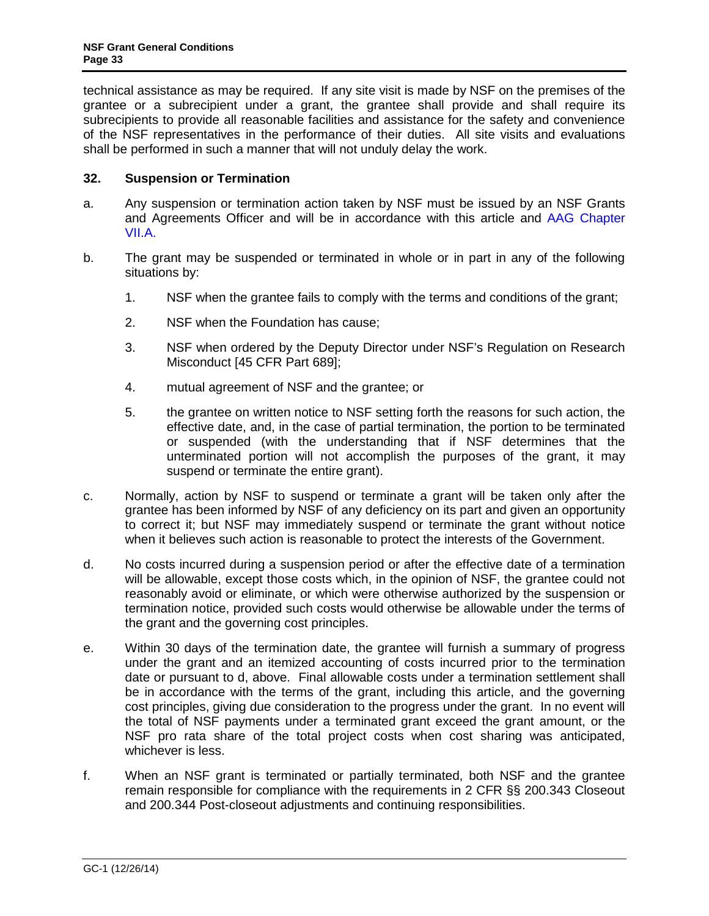<span id="page-32-0"></span>technical assistance as may be required. If any site visit is made by NSF on the premises of the grantee or a subrecipient under a grant, the grantee shall provide and shall require its subrecipients to provide all reasonable facilities and assistance for the safety and convenience of the NSF representatives in the performance of their duties. All site visits and evaluations shall be performed in such a manner that will not unduly delay the work.

## **32. Suspension or Termination**

- a. Any suspension or termination action taken by NSF must be issued by an NSF Grants and Agreements Officer and will be in accordance with this article and [AAG Chapter](http://www.nsf.gov/pubs/policydocs/pappguide/nsf15001/aag_7.jsp#VIIA)  [VII.A.](http://www.nsf.gov/pubs/policydocs/pappguide/nsf15001/aag_7.jsp#VIIA)
- b. The grant may be suspended or terminated in whole or in part in any of the following situations by:
	- 1. NSF when the grantee fails to comply with the terms and conditions of the grant;
	- 2. NSF when the Foundation has cause;
	- 3. NSF when ordered by the Deputy Director under NSF's Regulation on Research Misconduct [45 CFR Part 689];
	- 4. mutual agreement of NSF and the grantee; or
	- 5. the grantee on written notice to NSF setting forth the reasons for such action, the effective date, and, in the case of partial termination, the portion to be terminated or suspended (with the understanding that if NSF determines that the unterminated portion will not accomplish the purposes of the grant, it may suspend or terminate the entire grant).
- c. Normally, action by NSF to suspend or terminate a grant will be taken only after the grantee has been informed by NSF of any deficiency on its part and given an opportunity to correct it; but NSF may immediately suspend or terminate the grant without notice when it believes such action is reasonable to protect the interests of the Government.
- d. No costs incurred during a suspension period or after the effective date of a termination will be allowable, except those costs which, in the opinion of NSF, the grantee could not reasonably avoid or eliminate, or which were otherwise authorized by the suspension or termination notice, provided such costs would otherwise be allowable under the terms of the grant and the governing cost principles.
- e. Within 30 days of the termination date, the grantee will furnish a summary of progress under the grant and an itemized accounting of costs incurred prior to the termination date or pursuant to d, above. Final allowable costs under a termination settlement shall be in accordance with the terms of the grant, including this article, and the governing cost principles, giving due consideration to the progress under the grant. In no event will the total of NSF payments under a terminated grant exceed the grant amount, or the NSF pro rata share of the total project costs when cost sharing was anticipated, whichever is less.
- f. When an NSF grant is terminated or partially terminated, both NSF and the grantee remain responsible for compliance with the requirements in 2 CFR §§ 200.343 Closeout and 200.344 Post-closeout adjustments and continuing responsibilities.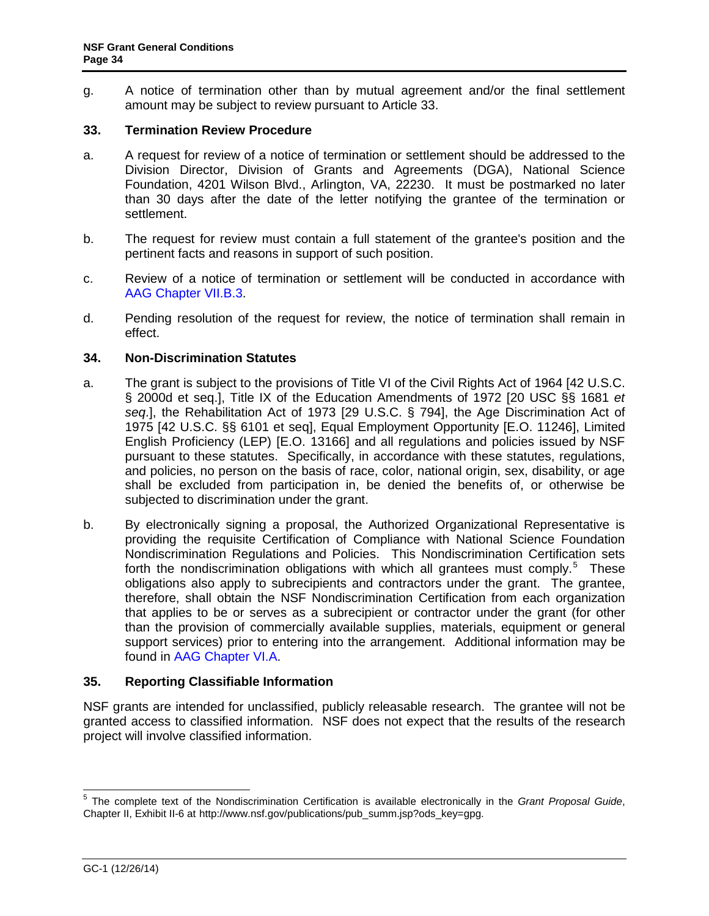<span id="page-33-0"></span>g. A notice of termination other than by mutual agreement and/or the final settlement amount may be subject to review pursuant to Article 33.

### **33. Termination Review Procedure**

- a. A request for review of a notice of termination or settlement should be addressed to the Division Director, Division of Grants and Agreements (DGA), National Science Foundation, 4201 Wilson Blvd., Arlington, VA, 22230. It must be postmarked no later than 30 days after the date of the letter notifying the grantee of the termination or settlement.
- b. The request for review must contain a full statement of the grantee's position and the pertinent facts and reasons in support of such position.
- c. Review of a notice of termination or settlement will be conducted in accordance with [AAG Chapter VII.B.3.](http://www.nsf.gov/pubs/policydocs/pappguide/nsf15001/aag_7.jsp#VIIB3)
- d. Pending resolution of the request for review, the notice of termination shall remain in effect.

### **34. Non-Discrimination Statutes**

- a. The grant is subject to the provisions of Title VI of the Civil Rights Act of 1964 [42 U.S.C. § 2000d et seq.], Title IX of the Education Amendments of 1972 [20 USC §§ 1681 *et seq*.], the Rehabilitation Act of 1973 [29 U.S.C. § 794], the Age Discrimination Act of 1975 [42 U.S.C. §§ 6101 et seq], Equal Employment Opportunity [E.O. 11246], Limited English Proficiency (LEP) [E.O. 13166] and all regulations and policies issued by NSF pursuant to these statutes. Specifically, in accordance with these statutes, regulations, and policies, no person on the basis of race, color, national origin, sex, disability, or age shall be excluded from participation in, be denied the benefits of, or otherwise be subjected to discrimination under the grant.
- b. By electronically signing a proposal, the Authorized Organizational Representative is providing the requisite Certification of Compliance with National Science Foundation Nondiscrimination Regulations and Policies. This Nondiscrimination Certification sets forth the nondiscrimination obligations with which all grantees must comply.<sup>5</sup> These obligations also apply to subrecipients and contractors under the grant. The grantee, therefore, shall obtain the NSF Nondiscrimination Certification from each organization that applies to be or serves as a subrecipient or contractor under the grant (for other than the provision of commercially available supplies, materials, equipment or general support services) prior to entering into the arrangement. Additional information may be found in [AAG Chapter VI.A.](http://www.nsf.gov/pubs/policydocs/pappguide/nsf15001/aag_6.jsp#VIA)

## **35. Reporting Classifiable Information**

NSF grants are intended for unclassified, publicly releasable research. The grantee will not be granted access to classified information. NSF does not expect that the results of the research project will involve classified information.

 <sup>5</sup> The complete text of the Nondiscrimination Certification is available electronically in the *Grant Proposal Guide*, Chapter II, Exhibit II-6 at http://www.nsf.gov/publications/pub\_summ.jsp?ods\_key=gpg.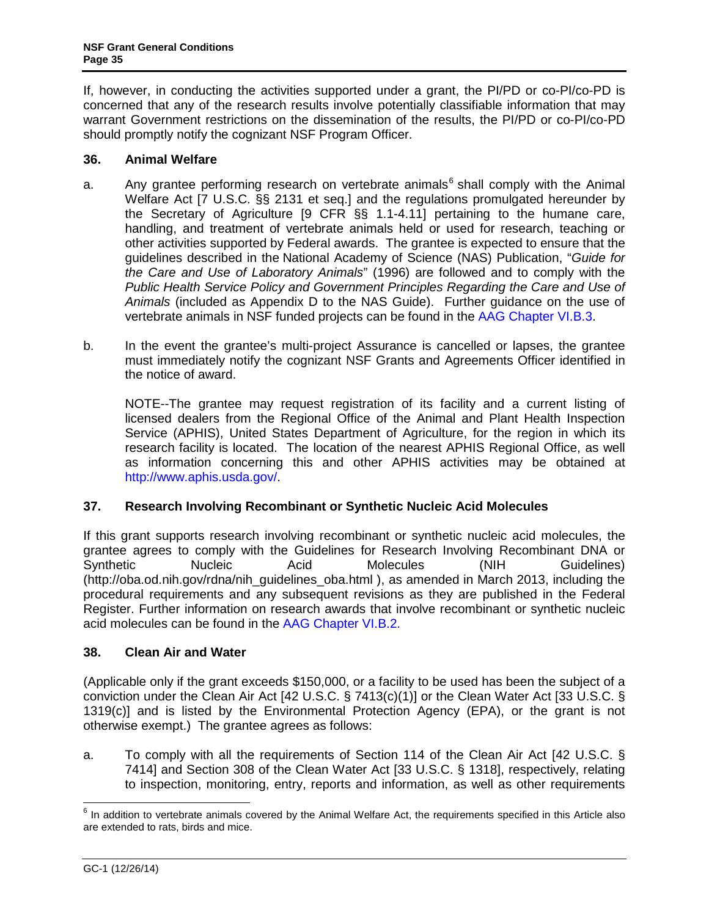<span id="page-34-0"></span>If, however, in conducting the activities supported under a grant, the PI/PD or co-PI/co-PD is concerned that any of the research results involve potentially classifiable information that may warrant Government restrictions on the dissemination of the results, the PI/PD or co-PI/co-PD should promptly notify the cognizant NSF Program Officer.

## **36. Animal Welfare**

- a. Any grantee performing research on vertebrate animals<sup>6</sup> shall comply with the Animal Welfare Act [7 U.S.C. §§ 2131 et seq.] and the regulations promulgated hereunder by the Secretary of Agriculture [9 CFR §§ 1.1-4.11] pertaining to the humane care, handling, and treatment of vertebrate animals held or used for research, teaching or other activities supported by Federal awards. The grantee is expected to ensure that the guidelines described in the National Academy of Science (NAS) Publication, "*[Guide for](http://www.nap.edu/readingroom/books/labrats/)  [the Care and Use of Laboratory Animals](http://www.nap.edu/readingroom/books/labrats/)*" (1996) are followed and to comply with the *Public Health Service Policy and Government Principles Regarding the Care and Use of Animals* (included as Appendix D to the NAS Guide). Further guidance on the use of vertebrate animals in NSF funded projects can be found in the [AAG Chapter VI.B.3.](http://www.nsf.gov/pubs/policydocs/pappguide/nsf15001/aag_6.jsp#VIB3)
- b. In the event the grantee's multi-project Assurance is cancelled or lapses, the grantee must immediately notify the cognizant NSF Grants and Agreements Officer identified in the notice of award.

NOTE--The grantee may request registration of its facility and a current listing of licensed dealers from the Regional Office of the Animal and Plant Health Inspection Service (APHIS), United States Department of Agriculture, for the region in which its research facility is located. The location of the nearest APHIS Regional Office, as well as information concerning this and other APHIS activities may be obtained at [http://www.aphis.usda.gov/.](http://www.aphis.usda.gov/)

## **37. Research Involving Recombinant or Synthetic Nucleic Acid Molecules**

If this grant supports research involving recombinant or synthetic nucleic acid molecules, the grantee agrees to comply with the Guidelines for Research Involving Recombinant DNA or Synthetic Nucleic Acid Molecules (NIH Guidelines) (http://oba.od.nih.gov/rdna/nih\_guidelines\_oba.html ), as amended in March 2013, including the procedural requirements and any subsequent revisions as they are published in the Federal Register. Further information on research awards that involve recombinant or synthetic nucleic acid molecules can be found in the [AAG Chapter VI.B.2.](http://www.nsf.gov/pubs/policydocs/pappguide/nsf15001/aag_6.jsp#VIB2)

## **38. Clean Air and Water**

(Applicable only if the grant exceeds \$150,000, or a facility to be used has been the subject of a conviction under the Clean Air Act [42 U.S.C. § 7413(c)(1)] or the Clean Water Act [33 U.S.C. § 1319(c)] and is listed by the Environmental Protection Agency (EPA), or the grant is not otherwise exempt.) The grantee agrees as follows:

a. To comply with all the requirements of Section 114 of the Clean Air Act [42 U.S.C. § 7414] and Section 308 of the Clean Water Act [33 U.S.C. § 1318], respectively, relating to inspection, monitoring, entry, reports and information, as well as other requirements

 $6$  In addition to vertebrate animals covered by the Animal Welfare Act, the requirements specified in this Article also are extended to rats, birds and mice.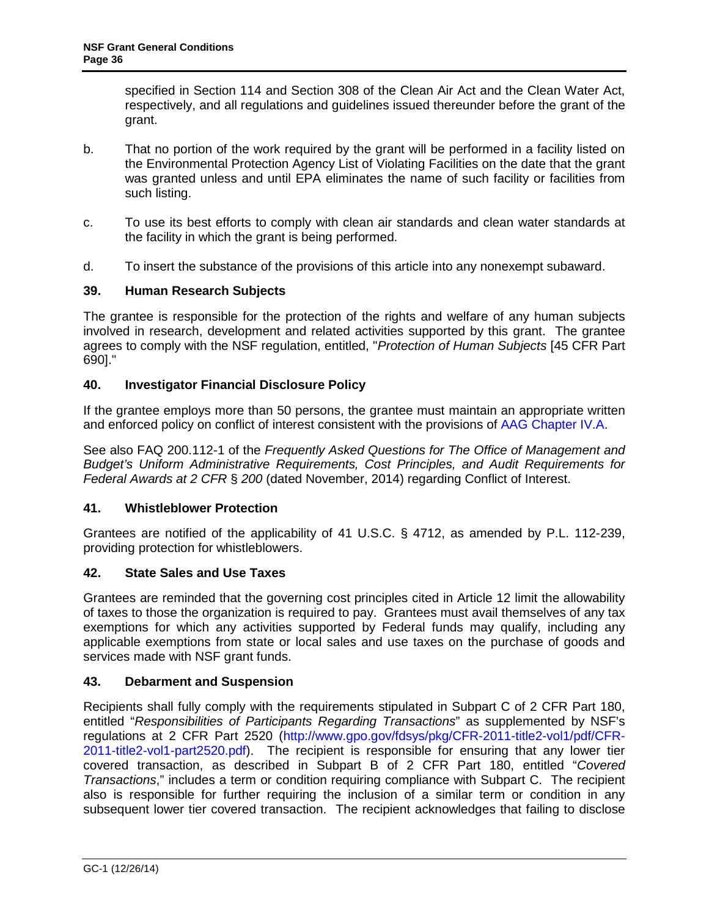<span id="page-35-0"></span>specified in Section 114 and Section 308 of the Clean Air Act and the Clean Water Act, respectively, and all regulations and guidelines issued thereunder before the grant of the grant.

- b. That no portion of the work required by the grant will be performed in a facility listed on the Environmental Protection Agency List of Violating Facilities on the date that the grant was granted unless and until EPA eliminates the name of such facility or facilities from such listing.
- c. To use its best efforts to comply with clean air standards and clean water standards at the facility in which the grant is being performed.
- d. To insert the substance of the provisions of this article into any nonexempt subaward.

### **39. Human Research Subjects**

The grantee is responsible for the protection of the rights and welfare of any human subjects involved in research, development and related activities supported by this grant. The grantee agrees to comply with the NSF regulation, entitled, "*Protection of Human Subjects* [45 CFR Part 690]."

### **40. Investigator Financial Disclosure Policy**

If the grantee employs more than 50 persons, the grantee must maintain an appropriate written and enforced policy on conflict of interest consistent with the provisions of [AAG Chapter IV.A.](http://www.nsf.gov/pubs/policydocs/pappguide/nsf15001/aag_4.jsp#IVA)

See also FAQ 200.112-1 of the *Frequently Asked Questions for The Office of Management and Budget's Uniform Administrative Requirements, Cost Principles, and Audit Requirements for Federal Awards at 2 CFR* § *200* (dated November, 2014) regarding Conflict of Interest.

### **41. Whistleblower Protection**

Grantees are notified of the applicability of 41 U.S.C. § 4712, as amended by P.L. 112-239, providing protection for whistleblowers.

### **42. State Sales and Use Taxes**

Grantees are reminded that the governing cost principles cited in Article 12 limit the allowability of taxes to those the organization is required to pay. Grantees must avail themselves of any tax exemptions for which any activities supported by Federal funds may qualify, including any applicable exemptions from state or local sales and use taxes on the purchase of goods and services made with NSF grant funds.

### **43. Debarment and Suspension**

Recipients shall fully comply with the requirements stipulated in Subpart C of 2 CFR Part 180, entitled "*Responsibilities of Participants Regarding Transactions*" as supplemented by NSF's regulations at 2 CFR Part 2520 [\(http://www.gpo.gov/fdsys/pkg/CFR-2011-title2-vol1/pdf/CFR-](http://www.gpo.gov/fdsys/pkg/CFR-2011-title2-vol1/pdf/CFR-2011-title2-vol1-part2520.pdf)[2011-title2-vol1-part2520.pdf\)](http://www.gpo.gov/fdsys/pkg/CFR-2011-title2-vol1/pdf/CFR-2011-title2-vol1-part2520.pdf). The recipient is responsible for ensuring that any lower tier covered transaction, as described in Subpart B of 2 CFR Part 180, entitled "*Covered Transactions*," includes a term or condition requiring compliance with Subpart C. The recipient also is responsible for further requiring the inclusion of a similar term or condition in any subsequent lower tier covered transaction. The recipient acknowledges that failing to disclose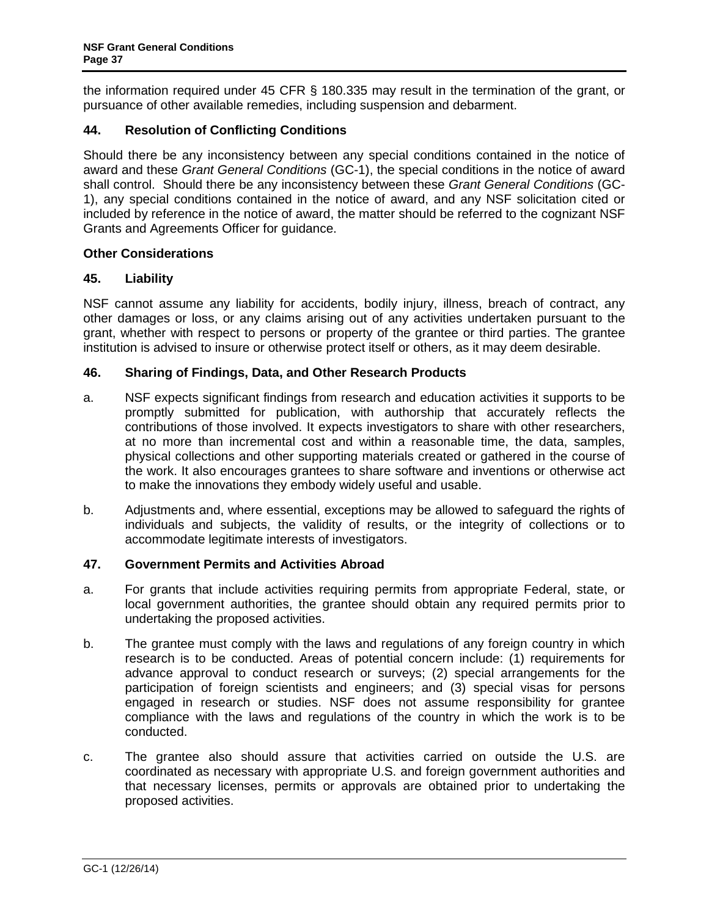<span id="page-36-0"></span>the information required under 45 CFR § 180.335 may result in the termination of the grant, or pursuance of other available remedies, including suspension and debarment.

## **44. Resolution of Conflicting Conditions**

Should there be any inconsistency between any special conditions contained in the notice of award and these *Grant General Conditions* (GC-1), the special conditions in the notice of award shall control. Should there be any inconsistency between these *Grant General Conditions* (GC-1), any special conditions contained in the notice of award, and any NSF solicitation cited or included by reference in the notice of award, the matter should be referred to the cognizant NSF Grants and Agreements Officer for guidance.

### **Other Considerations**

### **45. Liability**

NSF cannot assume any liability for accidents, bodily injury, illness, breach of contract, any other damages or loss, or any claims arising out of any activities undertaken pursuant to the grant, whether with respect to persons or property of the grantee or third parties. The grantee institution is advised to insure or otherwise protect itself or others, as it may deem desirable.

### **46. Sharing of Findings, Data, and Other Research Products**

- a. NSF expects significant findings from research and education activities it supports to be promptly submitted for publication, with authorship that accurately reflects the contributions of those involved. It expects investigators to share with other researchers, at no more than incremental cost and within a reasonable time, the data, samples, physical collections and other supporting materials created or gathered in the course of the work. It also encourages grantees to share software and inventions or otherwise act to make the innovations they embody widely useful and usable.
- b. Adjustments and, where essential, exceptions may be allowed to safeguard the rights of individuals and subjects, the validity of results, or the integrity of collections or to accommodate legitimate interests of investigators.

### **47. Government Permits and Activities Abroad**

- a. For grants that include activities requiring permits from appropriate Federal, state, or local government authorities, the grantee should obtain any required permits prior to undertaking the proposed activities.
- b. The grantee must comply with the laws and regulations of any foreign country in which research is to be conducted. Areas of potential concern include: (1) requirements for advance approval to conduct research or surveys; (2) special arrangements for the participation of foreign scientists and engineers; and (3) special visas for persons engaged in research or studies. NSF does not assume responsibility for grantee compliance with the laws and regulations of the country in which the work is to be conducted.
- c. The grantee also should assure that activities carried on outside the U.S. are coordinated as necessary with appropriate U.S. and foreign government authorities and that necessary licenses, permits or approvals are obtained prior to undertaking the proposed activities.